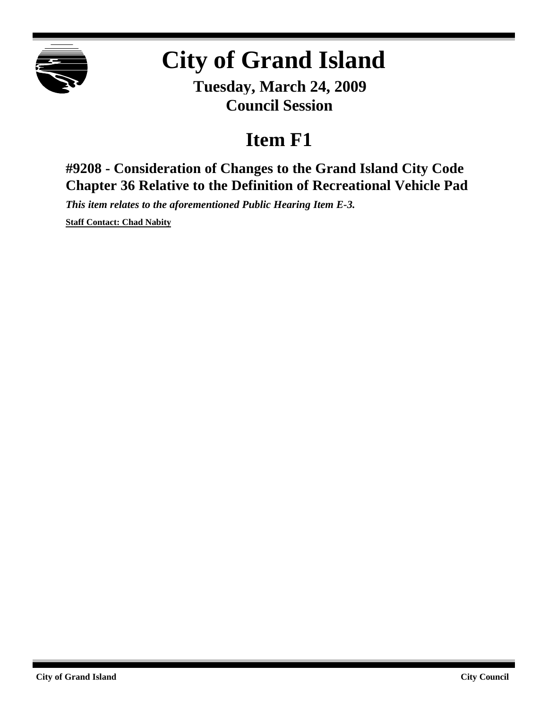

# **City of Grand Island**

**Tuesday, March 24, 2009 Council Session**

## **Item F1**

**#9208 - Consideration of Changes to the Grand Island City Code Chapter 36 Relative to the Definition of Recreational Vehicle Pad**

*This item relates to the aforementioned Public Hearing Item E-3.*

**Staff Contact: Chad Nabity**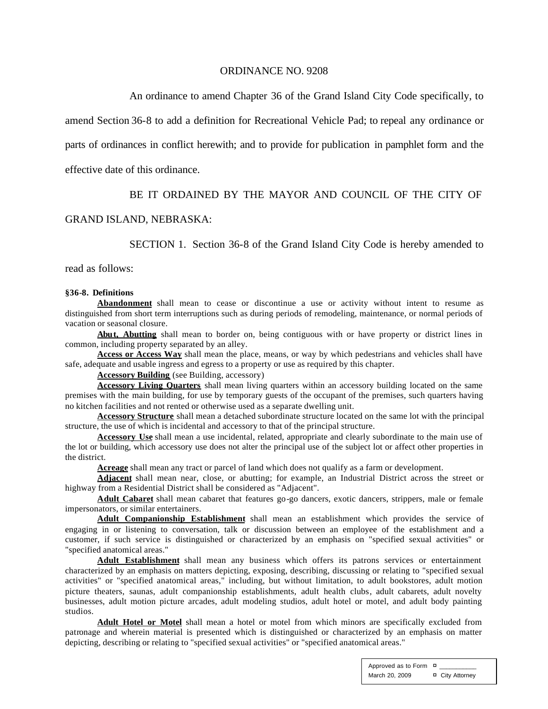#### ORDINANCE NO. 9208

An ordinance to amend Chapter 36 of the Grand Island City Code specifically, to

amend Section 36-8 to add a definition for Recreational Vehicle Pad; to repeal any ordinance or

parts of ordinances in conflict herewith; and to provide for publication in pamphlet form and the

effective date of this ordinance.

#### BE IT ORDAINED BY THE MAYOR AND COUNCIL OF THE CITY OF

#### GRAND ISLAND, NEBRASKA:

SECTION 1. Section 36-8 of the Grand Island City Code is hereby amended to

read as follows:

#### **§36-8. Definitions**

**Abandonment** shall mean to cease or discontinue a use or activity without intent to resume as distinguished from short term interruptions such as during periods of remodeling, maintenance, or normal periods of vacation or seasonal closure.

**Abut, Abutting** shall mean to border on, being contiguous with or have property or district lines in common, including property separated by an alley.

**Access or Access Way** shall mean the place, means, or way by which pedestrians and vehicles shall have safe, adequate and usable ingress and egress to a property or use as required by this chapter.

**Accessory Building** (see Building, accessory)

**Accessory Living Quarters** shall mean living quarters within an accessory building located on the same premises with the main building, for use by temporary guests of the occupant of the premises, such quarters having no kitchen facilities and not rented or otherwise used as a separate dwelling unit.

**Accessory Structure** shall mean a detached subordinate structure located on the same lot with the principal structure, the use of which is incidental and accessory to that of the principal structure.

**Accessory Use** shall mean a use incidental, related, appropriate and clearly subordinate to the main use of the lot or building, which accessory use does not alter the principal use of the subject lot or affect other properties in the district.

**Acreage** shall mean any tract or parcel of land which does not qualify as a farm or development.

**Adjacent** shall mean near, close, or abutting; for example, an Industrial District across the street or highway from a Residential District shall be considered as "Adjacent".

**Adult Cabaret** shall mean cabaret that features go-go dancers, exotic dancers, strippers, male or female impersonators, or similar entertainers.

**Adult Companionship Establishment** shall mean an establishment which provides the service of engaging in or listening to conversation, talk or discussion between an employee of the establishment and a customer, if such service is distinguished or characterized by an emphasis on "specified sexual activities" or "specified anatomical areas."

**Adult Establishment** shall mean any business which offers its patrons services or entertainment characterized by an emphasis on matters depicting, exposing, describing, discussing or relating to "specified sexual activities" or "specified anatomical areas," including, but without limitation, to adult bookstores, adult motion picture theaters, saunas, adult companionship establishments, adult health clubs, adult cabarets, adult novelty businesses, adult motion picture arcades, adult modeling studios, adult hotel or motel, and adult body painting studios.

**Adult Hotel or Motel** shall mean a hotel or motel from which minors are specifically excluded from patronage and wherein material is presented which is distinguished or characterized by an emphasis on matter depicting, describing or relating to "specified sexual activities" or "specified anatomical areas."

> Approved as to Form  $\overline{a}$ March 20, 2009 **¤** City Attorney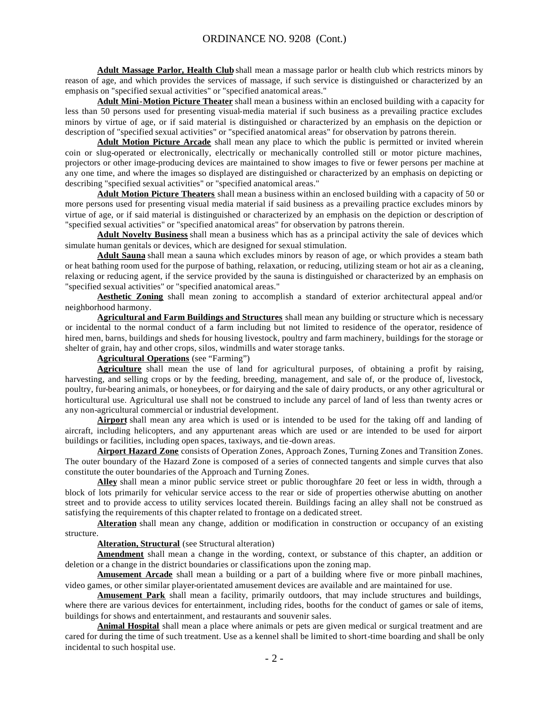**Adult Massage Parlor, Health Club** shall mean a massage parlor or health club which restricts minors by reason of age, and which provides the services of massage, if such service is distinguished or characterized by an emphasis on "specified sexual activities" or "specified anatomical areas."

**Adult Mini-Motion Picture Theater** shall mean a business within an enclosed building with a capacity for less than 50 persons used for presenting visual-media material if such business as a prevailing practice excludes minors by virtue of age, or if said material is distinguished or characterized by an emphasis on the depiction or description of "specified sexual activities" or "specified anatomical areas" for observation by patrons therein.

**Adult Motion Picture Arcade** shall mean any place to which the public is permitted or invited wherein coin or slug-operated or electronically, electrically or mechanically controlled still or motor picture machines, projectors or other image-producing devices are maintained to show images to five or fewer persons per machine at any one time, and where the images so displayed are distinguished or characterized by an emphasis on depicting or describing "specified sexual activities" or "specified anatomical areas."

**Adult Motion Picture Theaters** shall mean a business within an enclosed building with a capacity of 50 or more persons used for presenting visual media material if said business as a prevailing practice excludes minors by virtue of age, or if said material is distinguished or characterized by an emphasis on the depiction or description of "specified sexual activities" or "specified anatomical areas" for observation by patrons therein.

**Adult Novelty Business** shall mean a business which has as a principal activity the sale of devices which simulate human genitals or devices, which are designed for sexual stimulation.

**Adult Sauna** shall mean a sauna which excludes minors by reason of age, or which provides a steam bath or heat bathing room used for the purpose of bathing, relaxation, or reducing, utilizing steam or hot air as a cleaning, relaxing or reducing agent, if the service provided by the sauna is distinguished or characterized by an emphasis on "specified sexual activities" or "specified anatomical areas."

**Aesthetic Zoning** shall mean zoning to accomplish a standard of exterior architectural appeal and/or neighborhood harmony.

**Agricultural and Farm Buildings and Structures** shall mean any building or structure which is necessary or incidental to the normal conduct of a farm including but not limited to residence of the operator, residence of hired men, barns, buildings and sheds for housing livestock, poultry and farm machinery, buildings for the storage or shelter of grain, hay and other crops, silos, windmills and water storage tanks.

**Agricultural Operations** (see "Farming")

**Agriculture** shall mean the use of land for agricultural purposes, of obtaining a profit by raising, harvesting, and selling crops or by the feeding, breeding, management, and sale of, or the produce of, livestock, poultry, fur-bearing animals, or honeybees, or for dairying and the sale of dairy products, or any other agricultural or horticultural use. Agricultural use shall not be construed to include any parcel of land of less than twenty acres or any non-agricultural commercial or industrial development.

**Airport** shall mean any area which is used or is intended to be used for the taking off and landing of aircraft, including helicopters, and any appurtenant areas which are used or are intended to be used for airport buildings or facilities, including open spaces, taxiways, and tie-down areas.

**Airport Hazard Zone** consists of Operation Zones, Approach Zones, Turning Zones and Transition Zones. The outer boundary of the Hazard Zone is composed of a series of connected tangents and simple curves that also constitute the outer boundaries of the Approach and Turning Zones.

**Alley** shall mean a minor public service street or public thoroughfare 20 feet or less in width, through a block of lots primarily for vehicular service access to the rear or side of properties otherwise abutting on another street and to provide access to utility services located therein. Buildings facing an alley shall not be construed as satisfying the requirements of this chapter related to frontage on a dedicated street.

**Alteration** shall mean any change, addition or modification in construction or occupancy of an existing structure.

**Alteration, Structural** (see Structural alteration)

**Amendment** shall mean a change in the wording, context, or substance of this chapter, an addition or deletion or a change in the district boundaries or classifications upon the zoning map.

**Amusement Arcade** shall mean a building or a part of a building where five or more pinball machines, video games, or other similar player-orientated amusement devices are available and are maintained for use.

**Amusement Park** shall mean a facility, primarily outdoors, that may include structures and buildings, where there are various devices for entertainment, including rides, booths for the conduct of games or sale of items, buildings for shows and entertainment, and restaurants and souvenir sales.

**Animal Hospital** shall mean a place where animals or pets are given medical or surgical treatment and are cared for during the time of such treatment. Use as a kennel shall be limited to short-time boarding and shall be only incidental to such hospital use.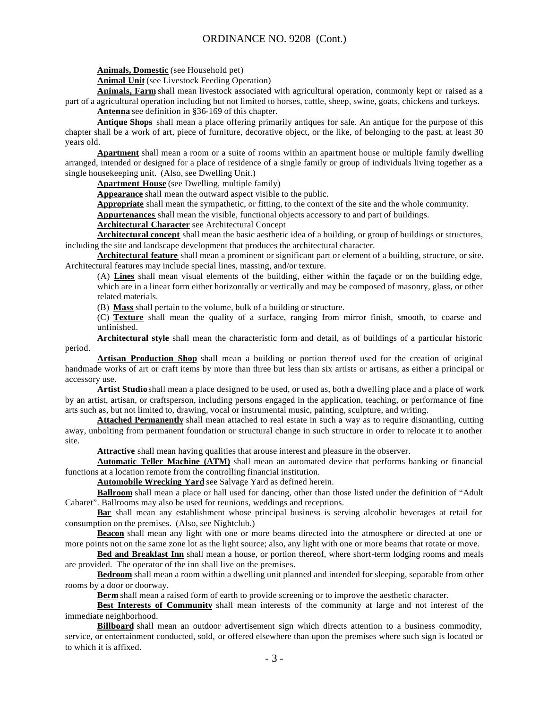**Animals, Domestic** (see Household pet)

**Animal Unit** (see Livestock Feeding Operation)

**Animals, Farm** shall mean livestock associated with agricultural operation, commonly kept or raised as a part of a agricultural operation including but not limited to horses, cattle, sheep, swine, goats, chickens and turkeys. **Antenna** see definition in §36-169 of this chapter.

**Antique Shops** shall mean a place offering primarily antiques for sale. An antique for the purpose of this chapter shall be a work of art, piece of furniture, decorative object, or the like, of belonging to the past, at least 30 years old.

**Apartment** shall mean a room or a suite of rooms within an apartment house or multiple family dwelling arranged, intended or designed for a place of residence of a single family or group of individuals living together as a single housekeeping unit. (Also, see Dwelling Unit.)

**Apartment House** (see Dwelling, multiple family)

**Appearance** shall mean the outward aspect visible to the public.

**Appropriate** shall mean the sympathetic, or fitting, to the context of the site and the whole community.

**Appurtenances** shall mean the visible, functional objects accessory to and part of buildings.

**Architectural Character** see Architectural Concept

**Architectural concept** shall mean the basic aesthetic idea of a building, or group of buildings or structures, including the site and landscape development that produces the architectural character.

**Architectural feature** shall mean a prominent or significant part or element of a building, structure, or site. Architectural features may include special lines, massing, and/or texture.

(A) **Lines** shall mean visual elements of the building, either within the façade or on the building edge, which are in a linear form either horizontally or vertically and may be composed of masonry, glass, or other related materials.

(B) **Mass** shall pertain to the volume, bulk of a building or structure.

(C) **Texture** shall mean the quality of a surface, ranging from mirror finish, smooth, to coarse and unfinished.

**Architectural style** shall mean the characteristic form and detail, as of buildings of a particular historic period.

**Artisan Production Shop** shall mean a building or portion thereof used for the creation of original handmade works of art or craft items by more than three but less than six artists or artisans, as either a principal or accessory use.

**Artist Studio** shall mean a place designed to be used, or used as, both a dwelling place and a place of work by an artist, artisan, or craftsperson, including persons engaged in the application, teaching, or performance of fine arts such as, but not limited to, drawing, vocal or instrumental music, painting, sculpture, and writing.

**Attached Permanently** shall mean attached to real estate in such a way as to require dismantling, cutting away, unbolting from permanent foundation or structural change in such structure in order to relocate it to another site.

**Attractive** shall mean having qualities that arouse interest and pleasure in the observer.

**Automatic Teller Machine (ATM)** shall mean an automated device that performs banking or financial functions at a location remote from the controlling financial institution.

**Automobile Wrecking Yard** see Salvage Yard as defined herein.

**Ballroom** shall mean a place or hall used for dancing, other than those listed under the definition of "Adult Cabaret". Ballrooms may also be used for reunions, weddings and receptions.

**Bar** shall mean any establishment whose principal business is serving alcoholic beverages at retail for consumption on the premises. (Also, see Nightclub.)

**Beacon** shall mean any light with one or more beams directed into the atmosphere or directed at one or more points not on the same zone lot as the light source; also, any light with one or more beams that rotate or move.

**Bed and Breakfast Inn** shall mean a house, or portion thereof, where short-term lodging rooms and meals are provided. The operator of the inn shall live on the premises.

**Bedroom** shall mean a room within a dwelling unit planned and intended for sleeping, separable from other rooms by a door or doorway.

**Berm** shall mean a raised form of earth to provide screening or to improve the aesthetic character.

**Best Interests of Community** shall mean interests of the community at large and not interest of the immediate neighborhood.

**Billboard** shall mean an outdoor advertisement sign which directs attention to a business commodity, service, or entertainment conducted, sold, or offered elsewhere than upon the premises where such sign is located or to which it is affixed.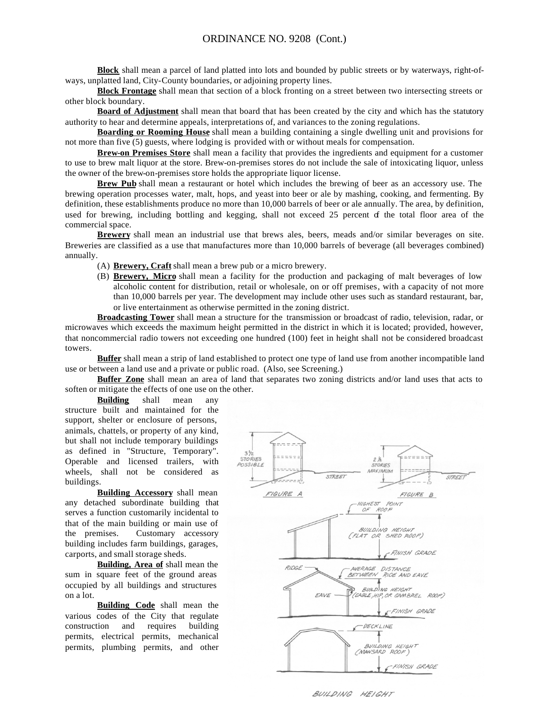**Block** shall mean a parcel of land platted into lots and bounded by public streets or by waterways, right-ofways, unplatted land, City-County boundaries, or adjoining property lines.

**Block Frontage** shall mean that section of a block fronting on a street between two intersecting streets or other block boundary.

**Board of Adjustment** shall mean that board that has been created by the city and which has the statutory authority to hear and determine appeals, interpretations of, and variances to the zoning regulations.

**Boarding or Rooming House** shall mean a building containing a single dwelling unit and provisions for not more than five (5) guests, where lodging is provided with or without meals for compensation.

**Brew-on Premises Store** shall mean a facility that provides the ingredients and equipment for a customer to use to brew malt liquor at the store. Brew-on-premises stores do not include the sale of intoxicating liquor, unless the owner of the brew-on-premises store holds the appropriate liquor license.

**Brew Pub** shall mean a restaurant or hotel which includes the brewing of beer as an accessory use. The brewing operation processes water, malt, hops, and yeast into beer or ale by mashing, cooking, and fermenting. By definition, these establishments produce no more than 10,000 barrels of beer or ale annually. The area, by definition, used for brewing, including bottling and kegging, shall not exceed 25 percent of the total floor area of the commercial space.

**Brewery** shall mean an industrial use that brews ales, beers, meads and/or similar beverages on site. Breweries are classified as a use that manufactures more than 10,000 barrels of beverage (all beverages combined) annually.

(A) **Brewery, Craft** shall mean a brew pub or a micro brewery.

(B) **Brewery, Micro** shall mean a facility for the production and packaging of malt beverages of low alcoholic content for distribution, retail or wholesale, on or off premises, with a capacity of not more than 10,000 barrels per year. The development may include other uses such as standard restaurant, bar, or live entertainment as otherwise permitted in the zoning district.

**Broadcasting Tower** shall mean a structure for the transmission or broadcast of radio, television, radar, or microwaves which exceeds the maximum height permitted in the district in which it is located; provided, however, that noncommercial radio towers not exceeding one hundred (100) feet in height shall not be considered broadcast towers.

**Buffer** shall mean a strip of land established to protect one type of land use from another incompatible land use or between a land use and a private or public road. (Also, see Screening.)

**Buffer Zone** shall mean an area of land that separates two zoning districts and/or land uses that acts to soften or mitigate the effects of one use on the other.

**Building** shall mean any structure built and maintained for the support, shelter or enclosure of persons, animals, chattels, or property of any kind, but shall not include temporary buildings as defined in "Structure, Temporary". Operable and licensed trailers, with wheels, shall not be considered as buildings.

**Building Accessory** shall mean any detached subordinate building that serves a function customarily incidental to that of the main building or main use of the premises. Customary accessory building includes farm buildings, garages, carports, and small storage sheds.

**Building, Area of** shall mean the sum in square feet of the ground areas occupied by all buildings and structures on a lot.

**Building Code** shall mean the various codes of the City that regulate construction and requires building permits, electrical permits, mechanical permits, plumbing permits, and other



BUILDING HEIGHT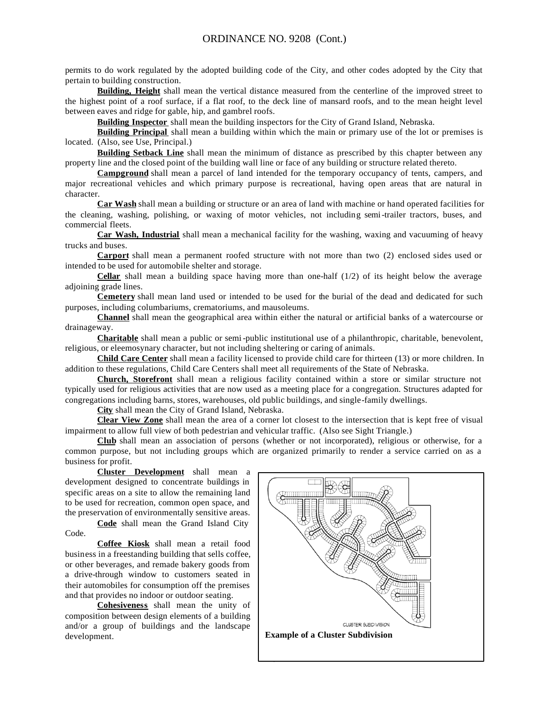permits to do work regulated by the adopted building code of the City, and other codes adopted by the City that pertain to building construction.

**Building, Height** shall mean the vertical distance measured from the centerline of the improved street to the highest point of a roof surface, if a flat roof, to the deck line of mansard roofs, and to the mean height level between eaves and ridge for gable, hip, and gambrel roofs.

**Building Inspector** shall mean the building inspectors for the City of Grand Island, Nebraska.

**Building Principal** shall mean a building within which the main or primary use of the lot or premises is located. (Also, see Use, Principal.)

**Building Setback Line** shall mean the minimum of distance as prescribed by this chapter between any property line and the closed point of the building wall line or face of any building or structure related thereto.

**Campground** shall mean a parcel of land intended for the temporary occupancy of tents, campers, and major recreational vehicles and which primary purpose is recreational, having open areas that are natural in character.

**Car Wash** shall mean a building or structure or an area of land with machine or hand operated facilities for the cleaning, washing, polishing, or waxing of motor vehicles, not including semi-trailer tractors, buses, and commercial fleets.

**Car Wash, Industrial** shall mean a mechanical facility for the washing, waxing and vacuuming of heavy trucks and buses.

**Carport** shall mean a permanent roofed structure with not more than two (2) enclosed sides used or intended to be used for automobile shelter and storage.

**Cellar** shall mean a building space having more than one-half (1/2) of its height below the average adjoining grade lines.

**Cemetery** shall mean land used or intended to be used for the burial of the dead and dedicated for such purposes, including columbariums, crematoriums, and mausoleums.

**Channel** shall mean the geographical area within either the natural or artificial banks of a watercourse or drainageway.

**Charitable** shall mean a public or semi-public institutional use of a philanthropic, charitable, benevolent, religious, or eleemosynary character, but not including sheltering or caring of animals.

**Child Care Center** shall mean a facility licensed to provide child care for thirteen (13) or more children. In addition to these regulations, Child Care Centers shall meet all requirements of the State of Nebraska.

**Church, Storefront** shall mean a religious facility contained within a store or similar structure not typically used for religious activities that are now used as a meeting place for a congregation. Structures adapted for congregations including barns, stores, warehouses, old public buildings, and single-family dwellings.

**City** shall mean the City of Grand Island, Nebraska.

**Clear View Zone** shall mean the area of a corner lot closest to the intersection that is kept free of visual impairment to allow full view of both pedestrian and vehicular traffic. (Also see Sight Triangle.)

**Club** shall mean an association of persons (whether or not incorporated), religious or otherwise, for a common purpose, but not including groups which are organized primarily to render a service carried on as a business for profit.

**Cluster Development** shall mean a development designed to concentrate buildings in specific areas on a site to allow the remaining land to be used for recreation, common open space, and the preservation of environmentally sensitive areas.

**Code** shall mean the Grand Island City Code.

**Coffee Kiosk** shall mean a retail food business in a freestanding building that sells coffee, or other beverages, and remade bakery goods from a drive-through window to customers seated in their automobiles for consumption off the premises and that provides no indoor or outdoor seating.

**Cohesiveness** shall mean the unity of composition between design elements of a building and/or a group of buildings and the landscape development. **Example of a Cluster Subdivision**

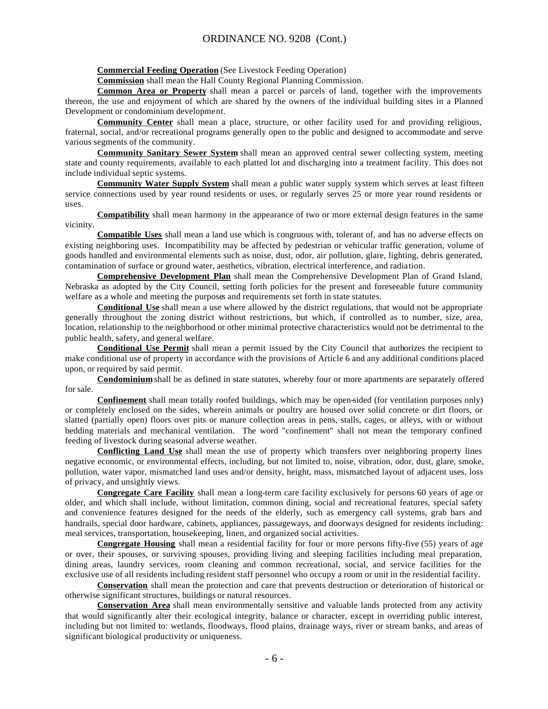**Commercial Feeding Operation** (See Livestock Feeding Operation)

**Commission** shall mean the Hall County Regional Planning Commission.

**Common Area or Property** shall mean a parcel or parcels of land, together with the improvements thereon, the use and enjoyment of which are shared by the owners of the individual building sites in a Planned Development or condominium development.

**Community Center** shall mean a place, structure, or other facility used for and providing religious, fraternal, social, and/or recreational programs generally open to the public and designed to accommodate and serve various segments of the community.

**Community Sanitary Sewer System** shall mean an approved central sewer collecting system, meeting state and county requirements, available to each platted lot and discharging into a treatment facility. This does not include individual septic systems.

**Community Water Supply System** shall mean a public water supply system which serves at least fifteen service connections used by year round residents or uses, or regularly serves 25 or more year round residents or uses.

**Compatibility** shall mean harmony in the appearance of two or more external design features in the same vicinity.

**Compatible Uses** shall mean a land use which is congruous with, tolerant of, and has no adverse effects on existing neighboring uses. Incompatibility may be affected by pedestrian or vehicular traffic generation, volume of goods handled and environmental elements such as noise, dust, odor, air pollution, glare, lighting, debris generated, contamination of surface or ground water, aesthetics, vibration, electrical interference, and radiation.

**Comprehensive Development Plan** shall mean the Comprehensive Development Plan of Grand Island, Nebraska as adopted by the City Council, setting forth policies for the present and foreseeable future community welfare as a whole and meeting the purposes and requirements set forth in state statutes.

**Conditional Use** shall mean a use where allowed by the district regulations, that would not be appropriate generally throughout the zoning district without restrictions, but which, if controlled as to number, size, area, location, relationship to the neighborhood or other minimal protective characteristics would not be detrimental to the public health, safety, and general welfare.

**Conditional Use Permit** shall mean a permit issued by the City Council that authorizes the recipient to make conditional use of property in accordance with the provisions of Article 6 and any additional conditions placed upon, or required by said permit.

**Condominium** shall be as defined in state statutes, whereby four or more apartments are separately offered for sale.

**Confinement** shall mean totally roofed buildings, which may be open-sided (for ventilation purposes only) or completely enclosed on the sides, wherein animals or poultry are housed over solid concrete or dirt floors, or slatted (partially open) floors over pits or manure collection areas in pens, stalls, cages, or alleys, with or without bedding materials and mechanical ventilation. The word "confinement" shall not mean the temporary confined feeding of livestock during seasonal adverse weather.

**Conflicting Land Use** shall mean the use of property which transfers over neighboring property lines negative economic, or environmental effects, including, but not limited to, noise, vibration, odor, dust, glare, smoke, pollution, water vapor, mismatched land uses and/or density, height, mass, mismatched layout of adjacent uses, loss of privacy, and unsightly views.

**Congregate Care Facility** shall mean a long-term care facility exclusively for persons 60 years of age or older, and which shall include, without limitation, common dining, social and recreational features, special safety and convenience features designed for the needs of the elderly, such as emergency call systems, grab bars and handrails, special door hardware, cabinets, appliances, passageways, and doorways designed for residents including: meal services, transportation, housekeeping, linen, and organized social activities.

**Congregate Housing** shall mean a residential facility for four or more persons fifty-five (55) years of age or over, their spouses, or surviving spouses, providing living and sleeping facilities including meal preparation, dining areas, laundry services, room cleaning and common recreational, social, and service facilities for the exclusive use of all residents including resident staff personnel who occupy a room or unit in the residential facility.

**Conservation** shall mean the protection and care that prevents destruction or deterioration of historical or otherwise significant structures, buildings or natural resources.

**Conservation Area** shall mean environmentally sensitive and valuable lands protected from any activity that would significantly alter their ecological integrity, balance or character, except in overriding public interest, including but not limited to: wetlands, floodways, flood plains, drainage ways, river or stream banks, and areas of significant biological productivity or uniqueness.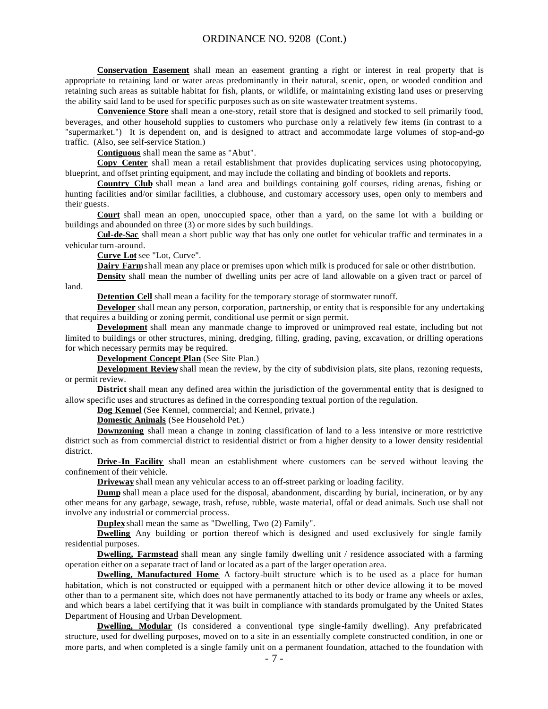**Conservation Easement** shall mean an easement granting a right or interest in real property that is appropriate to retaining land or water areas predominantly in their natural, scenic, open, or wooded condition and retaining such areas as suitable habitat for fish, plants, or wildlife, or maintaining existing land uses or preserving the ability said land to be used for specific purposes such as on site wastewater treatment systems.

**Convenience Store** shall mean a one-story, retail store that is designed and stocked to sell primarily food, beverages, and other household supplies to customers who purchase only a relatively few items (in contrast to a "supermarket.") It is dependent on, and is designed to attract and accommodate large volumes of stop-and-go traffic. (Also, see self-service Station.)

**Contiguous** shall mean the same as "Abut".

**Copy Center** shall mean a retail establishment that provides duplicating services using photocopying, blueprint, and offset printing equipment, and may include the collating and binding of booklets and reports.

**Country Club** shall mean a land area and buildings containing golf courses, riding arenas, fishing or hunting facilities and/or similar facilities, a clubhouse, and customary accessory uses, open only to members and their guests.

**Court** shall mean an open, unoccupied space, other than a yard, on the same lot with a building or buildings and abounded on three (3) or more sides by such buildings.

**Cul-de-Sac** shall mean a short public way that has only one outlet for vehicular traffic and terminates in a vehicular turn-around.

**Curve Lot** see "Lot, Curve".

**Dairy Farm** shall mean any place or premises upon which milk is produced for sale or other distribution.

**Density** shall mean the number of dwelling units per acre of land allowable on a given tract or parcel of

land.

**Detention Cell** shall mean a facility for the temporary storage of stormwater runoff.

**Developer** shall mean any person, corporation, partnership, or entity that is responsible for any undertaking that requires a building or zoning permit, conditional use permit or sign permit.

**Development** shall mean any manmade change to improved or unimproved real estate, including but not limited to buildings or other structures, mining, dredging, filling, grading, paving, excavation, or drilling operations for which necessary permits may be required.

**Development Concept Plan** (See Site Plan.)

**Development Review** shall mean the review, by the city of subdivision plats, site plans, rezoning requests, or permit review.

**District** shall mean any defined area within the jurisdiction of the governmental entity that is designed to allow specific uses and structures as defined in the corresponding textual portion of the regulation.

**Dog Kennel** (See Kennel, commercial; and Kennel, private.)

**Domestic Animals** (See Household Pet.)

**Downzoning** shall mean a change in zoning classification of land to a less intensive or more restrictive district such as from commercial district to residential district or from a higher density to a lower density residential district.

**Drive-In Facility** shall mean an establishment where customers can be served without leaving the confinement of their vehicle.

**Driveway** shall mean any vehicular access to an off-street parking or loading facility.

**Dump** shall mean a place used for the disposal, abandonment, discarding by burial, incineration, or by any other means for any garbage, sewage, trash, refuse, rubble, waste material, offal or dead animals. Such use shall not involve any industrial or commercial process.

**Duplex** shall mean the same as "Dwelling, Two (2) Family".

**Dwelling** Any building or portion thereof which is designed and used exclusively for single family residential purposes.

**Dwelling, Farmstead** shall mean any single family dwelling unit / residence associated with a farming operation either on a separate tract of land or located as a part of the larger operation area.

**Dwelling, Manufactured Home** A factory-built structure which is to be used as a place for human habitation, which is not constructed or equipped with a permanent hitch or other device allowing it to be moved other than to a permanent site, which does not have permanently attached to its body or frame any wheels or axles, and which bears a label certifying that it was built in compliance with standards promulgated by the United States Department of Housing and Urban Development.

**Dwelling, Modular** (Is considered a conventional type single-family dwelling). Any prefabricated structure, used for dwelling purposes, moved on to a site in an essentially complete constructed condition, in one or more parts, and when completed is a single family unit on a permanent foundation, attached to the foundation with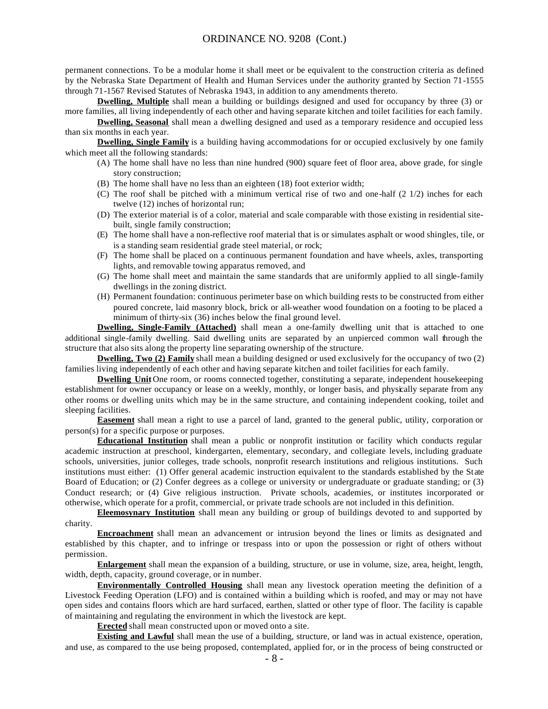permanent connections. To be a modular home it shall meet or be equivalent to the construction criteria as defined by the Nebraska State Department of Health and Human Services under the authority granted by Section 71-1555 through 71-1567 Revised Statutes of Nebraska 1943, in addition to any amendments thereto.

**Dwelling, Multiple** shall mean a building or buildings designed and used for occupancy by three (3) or more families, all living independently of each other and having separate kitchen and toilet facilities for each family.

**Dwelling, Seasonal** shall mean a dwelling designed and used as a temporary residence and occupied less than six months in each year.

**Dwelling, Single Family** is a building having accommodations for or occupied exclusively by one family which meet all the following standards:

- (A) The home shall have no less than nine hundred (900) square feet of floor area, above grade, for single story construction;
- (B) The home shall have no less than an eighteen (18) foot exterior width;
- (C) The roof shall be pitched with a minimum vertical rise of two and one-half (2 1/2) inches for each twelve (12) inches of horizontal run;
- (D) The exterior material is of a color, material and scale comparable with those existing in residential sitebuilt, single family construction;
- (E) The home shall have a non-reflective roof material that is or simulates asphalt or wood shingles, tile, or is a standing seam residential grade steel material, or rock;
- (F) The home shall be placed on a continuous permanent foundation and have wheels, axles, transporting lights, and removable towing apparatus removed, and
- (G) The home shall meet and maintain the same standards that are uniformly applied to all single-family dwellings in the zoning district.
- (H) Permanent foundation: continuous perimeter base on which building rests to be constructed from either poured concrete, laid masonry block, brick or all-weather wood foundation on a footing to be placed a minimum of thirty-six (36) inches below the final ground level.

**Dwelling, Single-Family (Attached)** shall mean a one-family dwelling unit that is attached to one additional single-family dwelling. Said dwelling units are separated by an unpierced common wall through the structure that also sits along the property line separating ownership of the structure.

**Dwelling, Two (2) Family** shall mean a building designed or used exclusively for the occupancy of two (2) families living independently of each other and having separate kitchen and toilet facilities for each family.

**Dwelling Unit** One room, or rooms connected together, constituting a separate, independent housekeeping establishment for owner occupancy or lease on a weekly, monthly, or longer basis, and physically separate from any other rooms or dwelling units which may be in the same structure, and containing independent cooking, toilet and sleeping facilities.

**Easement** shall mean a right to use a parcel of land, granted to the general public, utility, corporation or person(s) for a specific purpose or purposes.

**Educational Institution** shall mean a public or nonprofit institution or facility which conducts regular academic instruction at preschool, kindergarten, elementary, secondary, and collegiate levels, including graduate schools, universities, junior colleges, trade schools, nonprofit research institutions and religious institutions. Such institutions must either: (1) Offer general academic instruction equivalent to the standards established by the State Board of Education; or (2) Confer degrees as a college or university or undergraduate or graduate standing; or (3) Conduct research; or (4) Give religious instruction. Private schools, academies, or institutes incorporated or otherwise, which operate for a profit, commercial, or private trade schools are not included in this definition.

**Eleemosynary Institution** shall mean any building or group of buildings devoted to and supported by charity.

**Encroachment** shall mean an advancement or intrusion beyond the lines or limits as designated and established by this chapter, and to infringe or trespass into or upon the possession or right of others without permission.

**Enlargement** shall mean the expansion of a building, structure, or use in volume, size, area, height, length, width, depth, capacity, ground coverage, or in number.

**Environmentally Controlled Housing** shall mean any livestock operation meeting the definition of a Livestock Feeding Operation (LFO) and is contained within a building which is roofed, and may or may not have open sides and contains floors which are hard surfaced, earthen, slatted or other type of floor. The facility is capable of maintaining and regulating the environment in which the livestock are kept.

**Erected** shall mean constructed upon or moved onto a site.

**Existing and Lawful** shall mean the use of a building, structure, or land was in actual existence, operation, and use, as compared to the use being proposed, contemplated, applied for, or in the process of being constructed or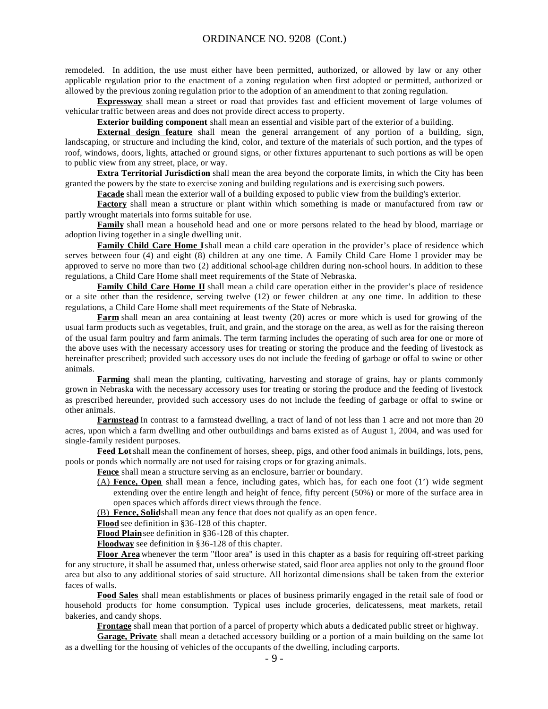remodeled. In addition, the use must either have been permitted, authorized, or allowed by law or any other applicable regulation prior to the enactment of a zoning regulation when first adopted or permitted, authorized or allowed by the previous zoning regulation prior to the adoption of an amendment to that zoning regulation.

**Expressway** shall mean a street or road that provides fast and efficient movement of large volumes of vehicular traffic between areas and does not provide direct access to property.

**Exterior building component** shall mean an essential and visible part of the exterior of a building.

**External design feature** shall mean the general arrangement of any portion of a building, sign, landscaping, or structure and including the kind, color, and texture of the materials of such portion, and the types of roof, windows, doors, lights, attached or ground signs, or other fixtures appurtenant to such portions as will be open to public view from any street, place, or way.

**Extra Territorial Jurisdiction** shall mean the area beyond the corporate limits, in which the City has been granted the powers by the state to exercise zoning and building regulations and is exercising such powers.

**Facade** shall mean the exterior wall of a building exposed to public view from the building's exterior.

**Factory** shall mean a structure or plant within which something is made or manufactured from raw or partly wrought materials into forms suitable for use.

**Family** shall mean a household head and one or more persons related to the head by blood, marriage or adoption living together in a single dwelling unit.

**Family Child Care Home I** shall mean a child care operation in the provider's place of residence which serves between four (4) and eight (8) children at any one time. A Family Child Care Home I provider may be approved to serve no more than two (2) additional school-age children during non-school hours. In addition to these regulations, a Child Care Home shall meet requirements of the State of Nebraska.

**Family Child Care Home II** shall mean a child care operation either in the provider's place of residence or a site other than the residence, serving twelve (12) or fewer children at any one time. In addition to these regulations, a Child Care Home shall meet requirements of the State of Nebraska.

**Farm** shall mean an area containing at least twenty (20) acres or more which is used for growing of the usual farm products such as vegetables, fruit, and grain, and the storage on the area, as well as for the raising thereon of the usual farm poultry and farm animals. The term farming includes the operating of such area for one or more of the above uses with the necessary accessory uses for treating or storing the produce and the feeding of livestock as hereinafter prescribed; provided such accessory uses do not include the feeding of garbage or offal to swine or other animals.

**Farming** shall mean the planting, cultivating, harvesting and storage of grains, hay or plants commonly grown in Nebraska with the necessary accessory uses for treating or storing the produce and the feeding of livestock as prescribed hereunder, provided such accessory uses do not include the feeding of garbage or offal to swine or other animals.

**Farmstead** In contrast to a farmstead dwelling, a tract of land of not less than 1 acre and not more than 20 acres, upon which a farm dwelling and other outbuildings and barns existed as of August 1, 2004, and was used for single-family resident purposes.

**Feed Lot** shall mean the confinement of horses, sheep, pigs, and other food animals in buildings, lots, pens, pools or ponds which normally are not used for raising crops or for grazing animals.

**Fence** shall mean a structure serving as an enclosure, barrier or boundary.

(A) **Fence, Open** shall mean a fence, including gates, which has, for each one foot (1') wide segment extending over the entire length and height of fence, fifty percent (50%) or more of the surface area in open spaces which affords direct views through the fence.

(B) **Fence, Solid** shall mean any fence that does not qualify as an open fence.

**Flood** see definition in §36-128 of this chapter.

**Flood Plain** see definition in §36-128 of this chapter.

**Floodway** see definition in §36-128 of this chapter.

**Floor Area** whenever the term "floor area" is used in this chapter as a basis for requiring off-street parking for any structure, it shall be assumed that, unless otherwise stated, said floor area applies not only to the ground floor area but also to any additional stories of said structure. All horizontal dimensions shall be taken from the exterior faces of walls.

**Food Sales** shall mean establishments or places of business primarily engaged in the retail sale of food or household products for home consumption. Typical uses include groceries, delicatessens, meat markets, retail bakeries, and candy shops.

**Frontage** shall mean that portion of a parcel of property which abuts a dedicated public street or highway.

**Garage, Private** shall mean a detached accessory building or a portion of a main building on the same lot as a dwelling for the housing of vehicles of the occupants of the dwelling, including carports.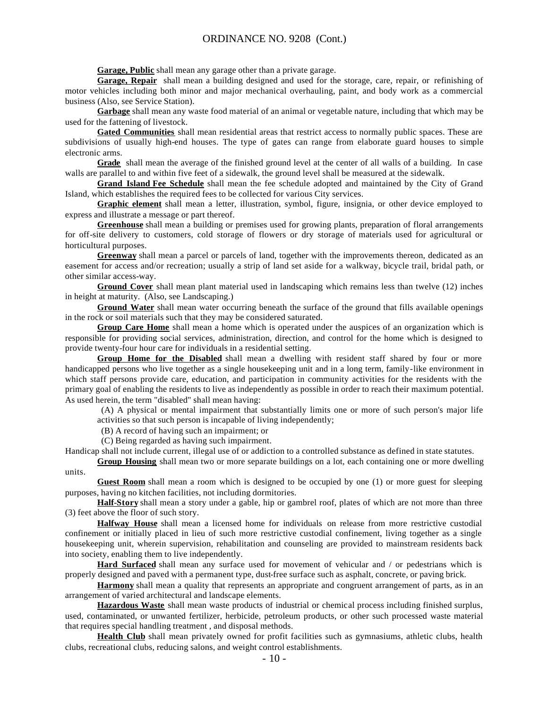**Garage, Public** shall mean any garage other than a private garage.

**Garage, Repair** shall mean a building designed and used for the storage, care, repair, or refinishing of motor vehicles including both minor and major mechanical overhauling, paint, and body work as a commercial business (Also, see Service Station).

**Garbage** shall mean any waste food material of an animal or vegetable nature, including that which may be used for the fattening of livestock.

**Gated Communities** shall mean residential areas that restrict access to normally public spaces. These are subdivisions of usually high-end houses. The type of gates can range from elaborate guard houses to simple electronic arms.

**Grade** shall mean the average of the finished ground level at the center of all walls of a building. In case walls are parallel to and within five feet of a sidewalk, the ground level shall be measured at the sidewalk.

**Grand Island Fee Schedule** shall mean the fee schedule adopted and maintained by the City of Grand Island, which establishes the required fees to be collected for various City services.

**Graphic element** shall mean a letter, illustration, symbol, figure, insignia, or other device employed to express and illustrate a message or part thereof.

**Greenhouse** shall mean a building or premises used for growing plants, preparation of floral arrangements for off-site delivery to customers, cold storage of flowers or dry storage of materials used for agricultural or horticultural purposes.

**Greenway** shall mean a parcel or parcels of land, together with the improvements thereon, dedicated as an easement for access and/or recreation; usually a strip of land set aside for a walkway, bicycle trail, bridal path, or other similar access-way.

**Ground Cover** shall mean plant material used in landscaping which remains less than twelve (12) inches in height at maturity. (Also, see Landscaping.)

**Ground Water** shall mean water occurring beneath the surface of the ground that fills available openings in the rock or soil materials such that they may be considered saturated.

**Group Care Home** shall mean a home which is operated under the auspices of an organization which is responsible for providing social services, administration, direction, and control for the home which is designed to provide twenty-four hour care for individuals in a residential setting.

**Group Home for the Disabled** shall mean a dwelling with resident staff shared by four or more handicapped persons who live together as a single housekeeping unit and in a long term, family-like environment in which staff persons provide care, education, and participation in community activities for the residents with the primary goal of enabling the residents to live as independently as possible in order to reach their maximum potential. As used herein, the term "disabled" shall mean having:

 (A) A physical or mental impairment that substantially limits one or more of such person's major life activities so that such person is incapable of living independently;

(B) A record of having such an impairment; or

(C) Being regarded as having such impairment.

Handicap shall not include current, illegal use of or addiction to a controlled substance as defined in state statutes.

**Group Housing** shall mean two or more separate buildings on a lot, each containing one or more dwelling units.

**Guest Room** shall mean a room which is designed to be occupied by one (1) or more guest for sleeping purposes, having no kitchen facilities, not including dormitories.

**Half-Story** shall mean a story under a gable, hip or gambrel roof, plates of which are not more than three (3) feet above the floor of such story.

**Halfway House** shall mean a licensed home for individuals on release from more restrictive custodial confinement or initially placed in lieu of such more restrictive custodial confinement, living together as a single housekeeping unit, wherein supervision, rehabilitation and counseling are provided to mainstream residents back into society, enabling them to live independently.

**Hard Surfaced** shall mean any surface used for movement of vehicular and / or pedestrians which is properly designed and paved with a permanent type, dust-free surface such as asphalt, concrete, or paving brick.

**Harmony** shall mean a quality that represents an appropriate and congruent arrangement of parts, as in an arrangement of varied architectural and landscape elements.

**Hazardous Waste** shall mean waste products of industrial or chemical process including finished surplus, used, contaminated, or unwanted fertilizer, herbicide, petroleum products, or other such processed waste material that requires special handling treatment , and disposal methods.

**Health Club** shall mean privately owned for profit facilities such as gymnasiums, athletic clubs, health clubs, recreational clubs, reducing salons, and weight control establishments.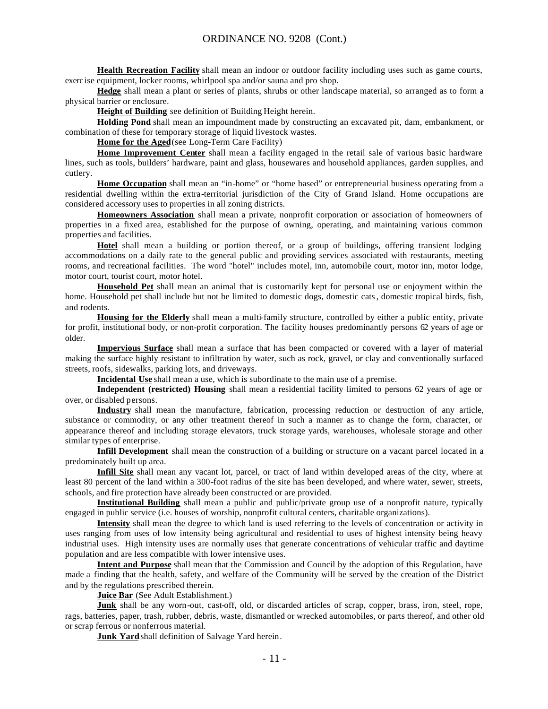**Health Recreation Facility** shall mean an indoor or outdoor facility including uses such as game courts, exerc ise equipment, locker rooms, whirlpool spa and/or sauna and pro shop.

**Hedge** shall mean a plant or series of plants, shrubs or other landscape material, so arranged as to form a physical barrier or enclosure.

**Height of Building** see definition of Building Height herein.

**Holding Pond** shall mean an impoundment made by constructing an excavated pit, dam, embankment, or combination of these for temporary storage of liquid livestock wastes.

**Home for the Aged**(see Long-Term Care Facility)

**Home Improvement Center** shall mean a facility engaged in the retail sale of various basic hardware lines, such as tools, builders' hardware, paint and glass, housewares and household appliances, garden supplies, and cutlery.

**Home Occupation** shall mean an "in-home" or "home based" or entrepreneurial business operating from a residential dwelling within the extra-territorial jurisdiction of the City of Grand Island. Home occupations are considered accessory uses to properties in all zoning districts.

**Homeowners Association** shall mean a private, nonprofit corporation or association of homeowners of properties in a fixed area, established for the purpose of owning, operating, and maintaining various common properties and facilities.

**Hotel** shall mean a building or portion thereof, or a group of buildings, offering transient lodging accommodations on a daily rate to the general public and providing services associated with restaurants, meeting rooms, and recreational facilities. The word "hotel" includes motel, inn, automobile court, motor inn, motor lodge, motor court, tourist court, motor hotel.

**Household Pet** shall mean an animal that is customarily kept for personal use or enjoyment within the home. Household pet shall include but not be limited to domestic dogs, domestic cats, domestic tropical birds, fish, and rodents.

**Housing for the Elderly** shall mean a multi-family structure, controlled by either a public entity, private for profit, institutional body, or non-profit corporation. The facility houses predominantly persons 62 years of age or older.

**Impervious Surface** shall mean a surface that has been compacted or covered with a layer of material making the surface highly resistant to infiltration by water, such as rock, gravel, or clay and conventionally surfaced streets, roofs, sidewalks, parking lots, and driveways.

**Incidental Use** shall mean a use, which is subordinate to the main use of a premise.

**Independent (restricted) Housing** shall mean a residential facility limited to persons 62 years of age or over, or disabled persons.

**Industry** shall mean the manufacture, fabrication, processing reduction or destruction of any article, substance or commodity, or any other treatment thereof in such a manner as to change the form, character, or appearance thereof and including storage elevators, truck storage yards, warehouses, wholesale storage and other similar types of enterprise.

**Infill Development** shall mean the construction of a building or structure on a vacant parcel located in a predominately built up area.

**Infill Site** shall mean any vacant lot, parcel, or tract of land within developed areas of the city, where at least 80 percent of the land within a 300-foot radius of the site has been developed, and where water, sewer, streets, schools, and fire protection have already been constructed or are provided.

**Institutional Building** shall mean a public and public/private group use of a nonprofit nature, typically engaged in public service (i.e. houses of worship, nonprofit cultural centers, charitable organizations).

**Intensity** shall mean the degree to which land is used referring to the levels of concentration or activity in uses ranging from uses of low intensity being agricultural and residential to uses of highest intensity being heavy industrial uses. High intensity uses are normally uses that generate concentrations of vehicular traffic and daytime population and are less compatible with lower intensive uses.

**Intent and Purpose** shall mean that the Commission and Council by the adoption of this Regulation, have made a finding that the health, safety, and welfare of the Community will be served by the creation of the District and by the regulations prescribed therein.

**Juice Bar** (See Adult Establishment.)

**Junk** shall be any worn-out, cast-off, old, or discarded articles of scrap, copper, brass, iron, steel, rope, rags, batteries, paper, trash, rubber, debris, waste, dismantled or wrecked automobiles, or parts thereof, and other old or scrap ferrous or nonferrous material.

**Junk Yard** shall definition of Salvage Yard herein.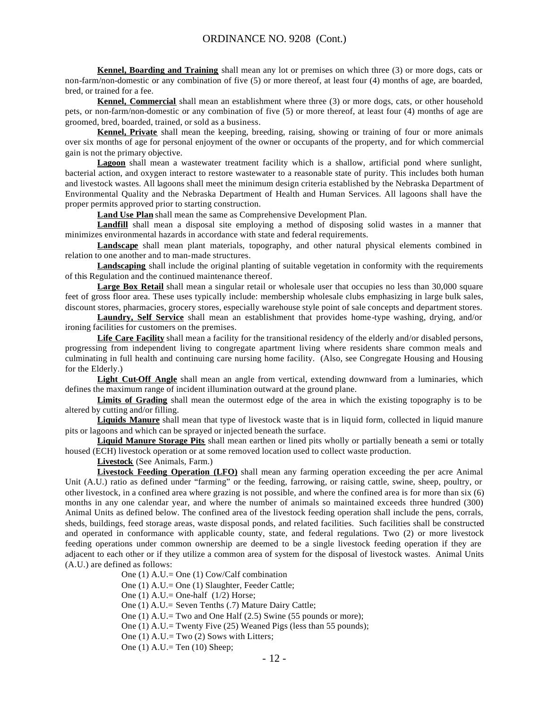**Kennel, Boarding and Training** shall mean any lot or premises on which three (3) or more dogs, cats or non-farm/non-domestic or any combination of five (5) or more thereof, at least four (4) months of age, are boarded, bred, or trained for a fee.

**Kennel, Commercial** shall mean an establishment where three (3) or more dogs, cats, or other household pets, or non-farm/non-domestic or any combination of five (5) or more thereof, at least four (4) months of age are groomed, bred, boarded, trained, or sold as a business.

**Kennel, Private** shall mean the keeping, breeding, raising, showing or training of four or more animals over six months of age for personal enjoyment of the owner or occupants of the property, and for which commercial gain is not the primary objective.

**Lagoon** shall mean a wastewater treatment facility which is a shallow, artificial pond where sunlight, bacterial action, and oxygen interact to restore wastewater to a reasonable state of purity. This includes both human and livestock wastes. All lagoons shall meet the minimum design criteria established by the Nebraska Department of Environmental Quality and the Nebraska Department of Health and Human Services. All lagoons shall have the proper permits approved prior to starting construction.

**Land Use Plan** shall mean the same as Comprehensive Development Plan.

Landfill shall mean a disposal site employing a method of disposing solid wastes in a manner that minimizes environmental hazards in accordance with state and federal requirements.

**Landscape** shall mean plant materials, topography, and other natural physical elements combined in relation to one another and to man-made structures.

**Landscaping** shall include the original planting of suitable vegetation in conformity with the requirements of this Regulation and the continued maintenance thereof.

**Large Box Retail** shall mean a singular retail or wholesale user that occupies no less than 30,000 square feet of gross floor area. These uses typically include: membership wholesale clubs emphasizing in large bulk sales, discount stores, pharmacies, grocery stores, especially warehouse style point of sale concepts and department stores.

**Laundry, Self Service** shall mean an establishment that provides home-type washing, drying, and/or ironing facilities for customers on the premises.

**Life Care Facility** shall mean a facility for the transitional residency of the elderly and/or disabled persons, progressing from independent living to congregate apartment living where residents share common meals and culminating in full health and continuing care nursing home facility. (Also, see Congregate Housing and Housing for the Elderly.)

Light Cut-Off Angle shall mean an angle from vertical, extending downward from a luminaries, which defines the maximum range of incident illumination outward at the ground plane.

**Limits of Grading** shall mean the outermost edge of the area in which the existing topography is to be altered by cutting and/or filling.

**Liquids Manure** shall mean that type of livestock waste that is in liquid form, collected in liquid manure pits or lagoons and which can be sprayed or injected beneath the surface.

**Liquid Manure Storage Pits** shall mean earthen or lined pits wholly or partially beneath a semi or totally housed (ECH) livestock operation or at some removed location used to collect waste production.

**Livestock** (See Animals, Farm.)

**Livestock Feeding Operation (LFO)** shall mean any farming operation exceeding the per acre Animal Unit (A.U.) ratio as defined under "farming" or the feeding, farrowing, or raising cattle, swine, sheep, poultry, or other livestock, in a confined area where grazing is not possible, and where the confined area is for more than six (6) months in any one calendar year, and where the number of animals so maintained exceeds three hundred (300) Animal Units as defined below. The confined area of the livestock feeding operation shall include the pens, corrals, sheds, buildings, feed storage areas, waste disposal ponds, and related facilities. Such facilities shall be constructed and operated in conformance with applicable county, state, and federal regulations. Two (2) or more livestock feeding operations under common ownership are deemed to be a single livestock feeding operation if they are adjacent to each other or if they utilize a common area of system for the disposal of livestock wastes. Animal Units (A.U.) are defined as follows:

One (1) A.U.= One (1) Cow/Calf combination

One (1) A.U.= One (1) Slaughter, Feeder Cattle;

One (1)  $A.U.=$  One-half (1/2) Horse;

One (1) A.U.= Seven Tenths (.7) Mature Dairy Cattle;

One (1) A.U.= Two and One Half (2.5) Swine (55 pounds or more);

One (1) A.U.= Twenty Five (25) Weaned Pigs (less than 55 pounds);

One  $(1)$  A.U.= Two  $(2)$  Sows with Litters;

One (1) A.U.= Ten (10) Sheep;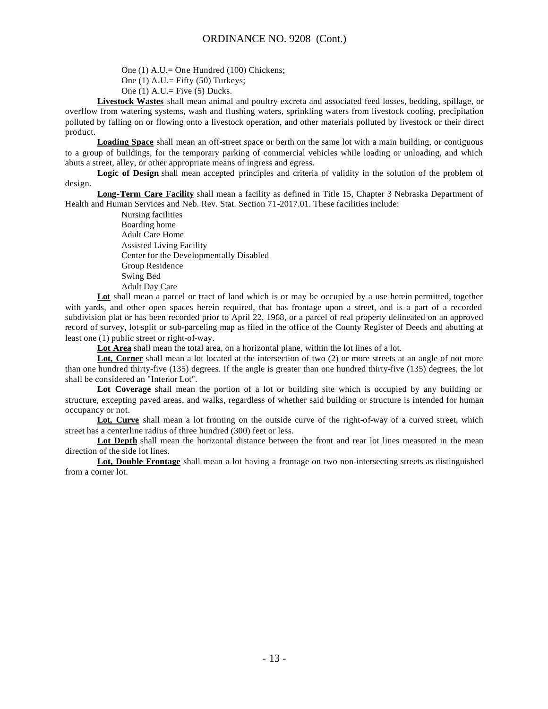One (1) A.U.= One Hundred (100) Chickens;

One  $(1)$  A.U.= Fifty  $(50)$  Turkeys;

One  $(1)$  A.U.= Five  $(5)$  Ducks.

**Livestock Wastes** shall mean animal and poultry excreta and associated feed losses, bedding, spillage, or overflow from watering systems, wash and flushing waters, sprinkling waters from livestock cooling, precipitation polluted by falling on or flowing onto a livestock operation, and other materials polluted by livestock or their direct product.

**Loading Space** shall mean an off-street space or berth on the same lot with a main building, or contiguous to a group of buildings, for the temporary parking of commercial vehicles while loading or unloading, and which abuts a street, alley, or other appropriate means of ingress and egress.

**Logic of Design** shall mean accepted principles and criteria of validity in the solution of the problem of design.

**Long-Term Care Facility** shall mean a facility as defined in Title 15, Chapter 3 Nebraska Department of Health and Human Services and Neb. Rev. Stat. Section 71-2017.01. These facilities include:

> Nursing facilities Boarding home Adult Care Home Assisted Living Facility Center for the Developmentally Disabled Group Residence Swing Bed Adult Day Care

**Lot** shall mean a parcel or tract of land which is or may be occupied by a use herein permitted, together with yards, and other open spaces herein required, that has frontage upon a street, and is a part of a recorded subdivision plat or has been recorded prior to April 22, 1968, or a parcel of real property delineated on an approved record of survey, lot-split or sub-parceling map as filed in the office of the County Register of Deeds and abutting at least one (1) public street or right-of-way.

**Lot Area** shall mean the total area, on a horizontal plane, within the lot lines of a lot.

**Lot, Corner** shall mean a lot located at the intersection of two (2) or more streets at an angle of not more than one hundred thirty-five (135) degrees. If the angle is greater than one hundred thirty-five (135) degrees, the lot shall be considered an "Interior Lot".

**Lot Coverage** shall mean the portion of a lot or building site which is occupied by any building or structure, excepting paved areas, and walks, regardless of whether said building or structure is intended for human occupancy or not.

Lot, Curve shall mean a lot fronting on the outside curve of the right-of-way of a curved street, which street has a centerline radius of three hundred (300) feet or less.

Lot Depth shall mean the horizontal distance between the front and rear lot lines measured in the mean direction of the side lot lines.

**Lot, Double Frontage** shall mean a lot having a frontage on two non-intersecting streets as distinguished from a corner lot.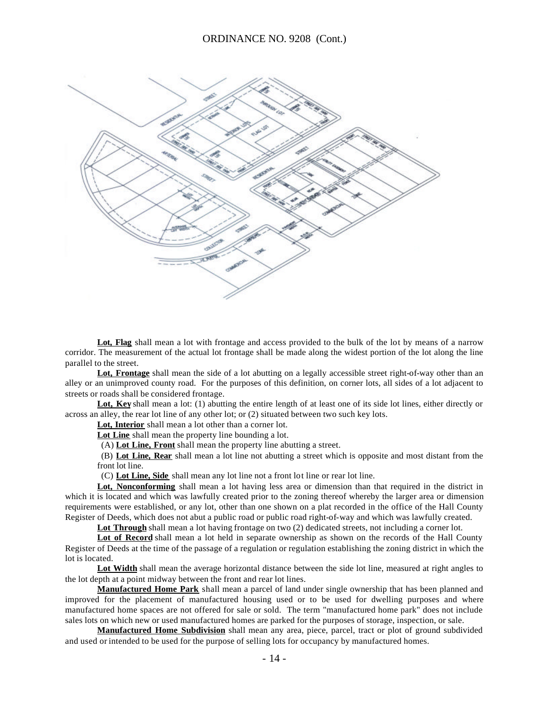

Lot, Flag shall mean a lot with frontage and access provided to the bulk of the lot by means of a narrow corridor. The measurement of the actual lot frontage shall be made along the widest portion of the lot along the line parallel to the street.

Lot, Frontage shall mean the side of a lot abutting on a legally accessible street right-of-way other than an alley or an unimproved county road. For the purposes of this definition, on corner lots, all sides of a lot adjacent to streets or roads shall be considered frontage.

Lot, Key shall mean a lot: (1) abutting the entire length of at least one of its side lot lines, either directly or across an alley, the rear lot line of any other lot; or (2) situated between two such key lots.

**Lot, Interior** shall mean a lot other than a corner lot.

Lot Line shall mean the property line bounding a lot.

(A) **Lot Line, Front** shall mean the property line abutting a street.

 (B) **Lot Line, Rear** shall mean a lot line not abutting a street which is opposite and most distant from the front lot line.

(C) **Lot Line, Side** shall mean any lot line not a front lot line or rear lot line.

**Lot, Nonconforming** shall mean a lot having less area or dimension than that required in the district in which it is located and which was lawfully created prior to the zoning thereof whereby the larger area or dimension requirements were established, or any lot, other than one shown on a plat recorded in the office of the Hall County Register of Deeds, which does not abut a public road or public road right-of-way and which was lawfully created.

Lot Through shall mean a lot having frontage on two (2) dedicated streets, not including a corner lot.

**Lot of Record** shall mean a lot held in separate ownership as shown on the records of the Hall County Register of Deeds at the time of the passage of a regulation or regulation establishing the zoning district in which the lot is located.

**Lot Width** shall mean the average horizontal distance between the side lot line, measured at right angles to the lot depth at a point midway between the front and rear lot lines.

**Manufactured Home Park** shall mean a parcel of land under single ownership that has been planned and improved for the placement of manufactured housing used or to be used for dwelling purposes and where manufactured home spaces are not offered for sale or sold. The term "manufactured home park" does not include sales lots on which new or used manufactured homes are parked for the purposes of storage, inspection, or sale.

**Manufactured Home Subdivision** shall mean any area, piece, parcel, tract or plot of ground subdivided and used or intended to be used for the purpose of selling lots for occupancy by manufactured homes.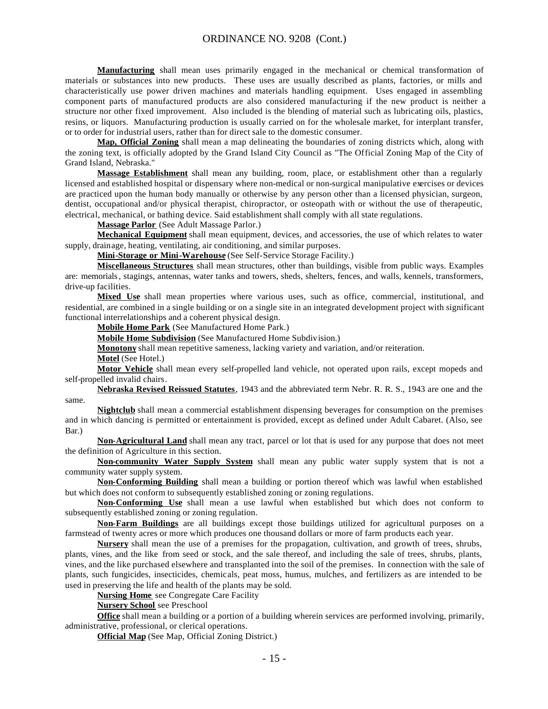**Manufacturing** shall mean uses primarily engaged in the mechanical or chemical transformation of materials or substances into new products. These uses are usually described as plants, factories, or mills and characteristically use power driven machines and materials handling equipment. Uses engaged in assembling component parts of manufactured products are also considered manufacturing if the new product is neither a structure nor other fixed improvement. Also included is the blending of material such as lubricating oils, plastics, resins, or liquors. Manufacturing production is usually carried on for the wholesale market, for interplant transfer, or to order for industrial users, rather than for direct sale to the domestic consumer.

**Map, Official Zoning** shall mean a map delineating the boundaries of zoning districts which, along with the zoning text, is officially adopted by the Grand Island City Council as "The Official Zoning Map of the City of Grand Island, Nebraska."

**Massage Establishment** shall mean any building, room, place, or establishment other than a regularly licensed and established hospital or dispensary where non-medical or non-surgical manipulative exercises or devices are practiced upon the human body manually or otherwise by any person other than a licensed physician, surgeon, dentist, occupational and/or physical therapist, chiropractor, or osteopath with or without the use of therapeutic, electrical, mechanical, or bathing device. Said establishment shall comply with all state regulations.

**Massage Parlor** (See Adult Massage Parlor.)

**Mechanical Equipment** shall mean equipment, devices, and accessories, the use of which relates to water supply, drainage, heating, ventilating, air conditioning, and similar purposes.

**Mini-Storage or Mini-Warehouse** (See Self-Service Storage Facility.)

**Miscellaneous Structures** shall mean structures, other than buildings, visible from public ways. Examples are: memorials, stagings, antennas, water tanks and towers, sheds, shelters, fences, and walls, kennels, transformers, drive-up facilities.

**Mixed Use** shall mean properties where various uses, such as office, commercial, institutional, and residential, are combined in a single building or on a single site in an integrated development project with significant functional interrelationships and a coherent physical design.

**Mobile Home Park** (See Manufactured Home Park.)

**Mobile Home Subdivision** (See Manufactured Home Subdivision.)

**Monotony** shall mean repetitive sameness, lacking variety and variation, and/or reiteration.

**Motel** (See Hotel.)

**Motor Vehicle** shall mean every self-propelled land vehicle, not operated upon rails, except mopeds and self-propelled invalid chairs.

**Nebraska Revised Reissued Statutes**, 1943 and the abbreviated term Nebr. R. R. S., 1943 are one and the same.

**Nightclub** shall mean a commercial establishment dispensing beverages for consumption on the premises and in which dancing is permitted or entertainment is provided, except as defined under Adult Cabaret. (Also, see Bar.)

**Non-Agricultural Land** shall mean any tract, parcel or lot that is used for any purpose that does not meet the definition of Agriculture in this section.

**Non-community Water Supply System** shall mean any public water supply system that is not a community water supply system.

**Non-Conforming Building** shall mean a building or portion thereof which was lawful when established but which does not conform to subsequently established zoning or zoning regulations.

**Non-Conforming Use** shall mean a use lawful when established but which does not conform to subsequently established zoning or zoning regulation.

**Non-Farm Buildings** are all buildings except those buildings utilized for agricultural purposes on a farmstead of twenty acres or more which produces one thousand dollars or more of farm products each year.

**Nursery** shall mean the use of a premises for the propagation, cultivation, and growth of trees, shrubs, plants, vines, and the like from seed or stock, and the sale thereof, and including the sale of trees, shrubs, plants, vines, and the like purchased elsewhere and transplanted into the soil of the premises. In connection with the sale of plants, such fungicides, insecticides, chemicals, peat moss, humus, mulches, and fertilizers as are intended to be used in preserving the life and health of the plants may be sold.

**Nursing Home** see Congregate Care Facility

**Nursery School** see Preschool

**Office** shall mean a building or a portion of a building wherein services are performed involving, primarily, administrative, professional, or clerical operations.

**Official Map** (See Map, Official Zoning District.)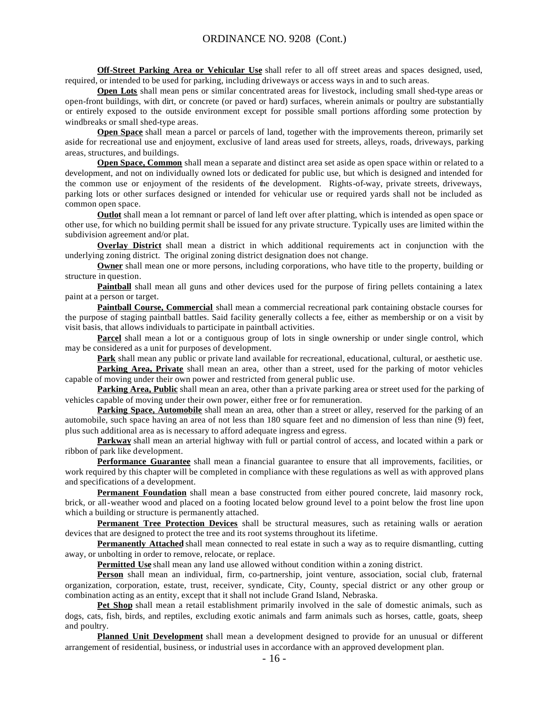**Off-Street Parking Area or Vehicular Use** shall refer to all off street areas and spaces designed, used, required, or intended to be used for parking, including driveways or access ways in and to such areas.

**Open Lots** shall mean pens or similar concentrated areas for livestock, including small shed-type areas or open-front buildings, with dirt, or concrete (or paved or hard) surfaces, wherein animals or poultry are substantially or entirely exposed to the outside environment except for possible small portions affording some protection by windbreaks or small shed-type areas.

**Open Space** shall mean a parcel or parcels of land, together with the improvements thereon, primarily set aside for recreational use and enjoyment, exclusive of land areas used for streets, alleys, roads, driveways, parking areas, structures, and buildings.

**Open Space, Common** shall mean a separate and distinct area set aside as open space within or related to a development, and not on individually owned lots or dedicated for public use, but which is designed and intended for the common use or enjoyment of the residents of the development. Rights-of-way, private streets, driveways, parking lots or other surfaces designed or intended for vehicular use or required yards shall not be included as common open space.

**Outlot** shall mean a lot remnant or parcel of land left over after platting, which is intended as open space or other use, for which no building permit shall be issued for any private structure. Typically uses are limited within the subdivision agreement and/or plat.

**Overlay District** shall mean a district in which additional requirements act in conjunction with the underlying zoning district. The original zoning district designation does not change.

**Owner** shall mean one or more persons, including corporations, who have title to the property, building or structure in question.

**Paintball** shall mean all guns and other devices used for the purpose of firing pellets containing a latex paint at a person or target.

**Paintball Course, Commercial** shall mean a commercial recreational park containing obstacle courses for the purpose of staging paintball battles. Said facility generally collects a fee, either as membership or on a visit by visit basis, that allows individuals to participate in paintball activities.

**Parcel** shall mean a lot or a contiguous group of lots in single ownership or under single control, which may be considered as a unit for purposes of development.

**Park** shall mean any public or private land available for recreational, educational, cultural, or aesthetic use.

**Parking Area, Private** shall mean an area, other than a street, used for the parking of motor vehicles capable of moving under their own power and restricted from general public use.

**Parking Area, Public** shall mean an area, other than a private parking area or street used for the parking of vehicles capable of moving under their own power, either free or for remuneration.

**Parking Space, Automobile** shall mean an area, other than a street or alley, reserved for the parking of an automobile, such space having an area of not less than 180 square feet and no dimension of less than nine (9) feet, plus such additional area as is necessary to afford adequate ingress and egress.

**Parkway** shall mean an arterial highway with full or partial control of access, and located within a park or ribbon of park like development.

**Performance Guarantee** shall mean a financial guarantee to ensure that all improvements, facilities, or work required by this chapter will be completed in compliance with these regulations as well as with approved plans and specifications of a development.

**Permanent Foundation** shall mean a base constructed from either poured concrete, laid masonry rock, brick, or all-weather wood and placed on a footing located below ground level to a point below the frost line upon which a building or structure is permanently attached.

**Permanent Tree Protection Devices** shall be structural measures, such as retaining walls or aeration devices that are designed to protect the tree and its root systems throughout its lifetime.

**Permanently Attached** shall mean connected to real estate in such a way as to require dismantling, cutting away, or unbolting in order to remove, relocate, or replace.

**Permitted Use** shall mean any land use allowed without condition within a zoning district.

**Person** shall mean an individual, firm, co-partnership, joint venture, association, social club, fraternal organization, corporation, estate, trust, receiver, syndicate, City, County, special district or any other group or combination acting as an entity, except that it shall not include Grand Island, Nebraska.

**Pet Shop** shall mean a retail establishment primarily involved in the sale of domestic animals, such as dogs, cats, fish, birds, and reptiles, excluding exotic animals and farm animals such as horses, cattle, goats, sheep and poultry.

**Planned Unit Development** shall mean a development designed to provide for an unusual or different arrangement of residential, business, or industrial uses in accordance with an approved development plan.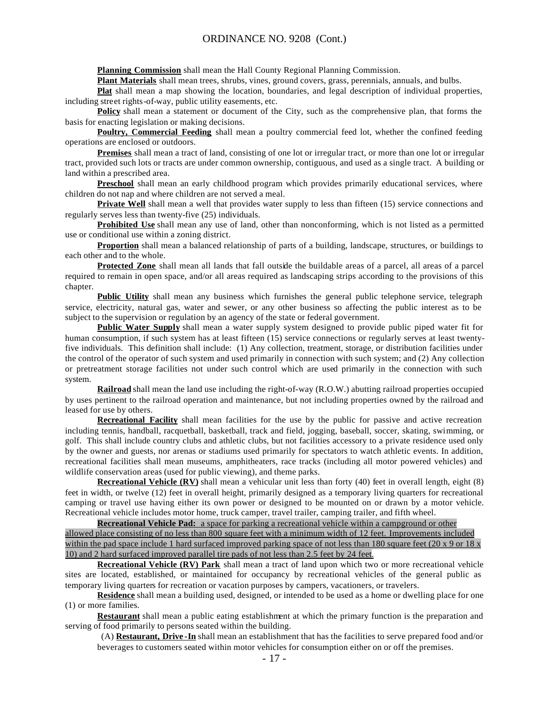**Planning Commission** shall mean the Hall County Regional Planning Commission.

Plant Materials shall mean trees, shrubs, vines, ground covers, grass, perennials, annuals, and bulbs.

**Plat** shall mean a map showing the location, boundaries, and legal description of individual properties, including street rights-of-way, public utility easements, etc.

**Policy** shall mean a statement or document of the City, such as the comprehensive plan, that forms the basis for enacting legislation or making decisions.

**Poultry, Commercial Feeding** shall mean a poultry commercial feed lot, whether the confined feeding operations are enclosed or outdoors.

**Premises** shall mean a tract of land, consisting of one lot or irregular tract, or more than one lot or irregular tract, provided such lots or tracts are under common ownership, contiguous, and used as a single tract. A building or land within a prescribed area.

**Preschool** shall mean an early childhood program which provides primarily educational services, where children do not nap and where children are not served a meal.

**Private Well** shall mean a well that provides water supply to less than fifteen (15) service connections and regularly serves less than twenty-five (25) individuals.

**Prohibited Use** shall mean any use of land, other than nonconforming, which is not listed as a permitted use or conditional use within a zoning district.

**Proportion** shall mean a balanced relationship of parts of a building, landscape, structures, or buildings to each other and to the whole.

**Protected Zone** shall mean all lands that fall outside the buildable areas of a parcel, all areas of a parcel required to remain in open space, and/or all areas required as landscaping strips according to the provisions of this chapter.

**Public Utility** shall mean any business which furnishes the general public telephone service, telegraph service, electricity, natural gas, water and sewer, or any other business so affecting the public interest as to be subject to the supervision or regulation by an agency of the state or federal government.

**Public Water Supply** shall mean a water supply system designed to provide public piped water fit for human consumption, if such system has at least fifteen (15) service connections or regularly serves at least twentyfive individuals. This definition shall include: (1) Any collection, treatment, storage, or distribution facilities under the control of the operator of such system and used primarily in connection with such system; and (2) Any collection or pretreatment storage facilities not under such control which are used primarily in the connection with such system.

**Railroad** shall mean the land use including the right-of-way (R.O.W.) abutting railroad properties occupied by uses pertinent to the railroad operation and maintenance, but not including properties owned by the railroad and leased for use by others.

**Recreational Facility** shall mean facilities for the use by the public for passive and active recreation including tennis, handball, racquetball, basketball, track and field, jogging, baseball, soccer, skating, swimming, or golf. This shall include country clubs and athletic clubs, but not facilities accessory to a private residence used only by the owner and guests, nor arenas or stadiums used primarily for spectators to watch athletic events. In addition, recreational facilities shall mean museums, amphitheaters, race tracks (including all motor powered vehicles) and wildlife conservation areas (used for public viewing), and theme parks.

**Recreational Vehicle (RV)** shall mean a vehicular unit less than forty (40) feet in overall length, eight (8) feet in width, or twelve (12) feet in overall height, primarily designed as a temporary living quarters for recreational camping or travel use having either its own power or designed to be mounted on or drawn by a motor vehicle. Recreational vehicle includes motor home, truck camper, travel trailer, camping trailer, and fifth wheel.

**Recreational Vehicle Pad:** a space for parking a recreational vehicle within a campground or other allowed place consisting of no less than 800 square feet with a minimum width of 12 feet. Improvements included within the pad space include 1 hard surfaced improved parking space of not less than 180 square feet (20 x 9 or 18 x 10) and 2 hard surfaced improved parallel tire pads of not less than 2.5 feet by 24 feet.

**Recreational Vehicle (RV) Park** shall mean a tract of land upon which two or more recreational vehicle sites are located, established, or maintained for occupancy by recreational vehicles of the general public as temporary living quarters for recreation or vacation purposes by campers, vacationers, or travelers.

**Residence** shall mean a building used, designed, or intended to be used as a home or dwelling place for one (1) or more families.

**Restaurant** shall mean a public eating establishment at which the primary function is the preparation and serving of food primarily to persons seated within the building.

 (A) **Restaurant, Drive -In** shall mean an establishment that has the facilities to serve prepared food and/or beverages to customers seated within motor vehicles for consumption either on or off the premises.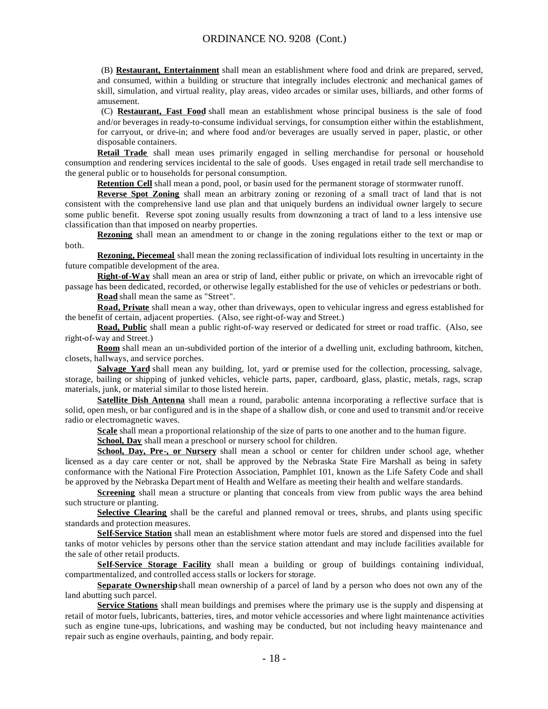(B) **Restaurant, Entertainment** shall mean an establishment where food and drink are prepared, served, and consumed, within a building or structure that integrally includes electronic and mechanical games of skill, simulation, and virtual reality, play areas, video arcades or similar uses, billiards, and other forms of amusement.

 (C) **Restaurant, Fast Food** shall mean an establishment whose principal business is the sale of food and/or beverages in ready-to-consume individual servings, for consumption either within the establishment, for carryout, or drive-in; and where food and/or beverages are usually served in paper, plastic, or other disposable containers.

**Retail Trade** shall mean uses primarily engaged in selling merchandise for personal or household consumption and rendering services incidental to the sale of goods. Uses engaged in retail trade sell merchandise to the general public or to households for personal consumption.

**Retention Cell** shall mean a pond, pool, or basin used for the permanent storage of stormwater runoff.

**Reverse Spot Zoning** shall mean an arbitrary zoning or rezoning of a small tract of land that is not consistent with the comprehensive land use plan and that uniquely burdens an individual owner largely to secure some public benefit. Reverse spot zoning usually results from downzoning a tract of land to a less intensive use classification than that imposed on nearby properties.

**Rezoning** shall mean an amendment to or change in the zoning regulations either to the text or map or both.

**Rezoning, Piecemeal** shall mean the zoning reclassification of individual lots resulting in uncertainty in the future compatible development of the area.

**Right-of-Way** shall mean an area or strip of land, either public or private, on which an irrevocable right of passage has been dedicated, recorded, or otherwise legally established for the use of vehicles or pedestrians or both.

**Road** shall mean the same as "Street".

**Road, Private** shall mean a way, other than driveways, open to vehicular ingress and egress established for the benefit of certain, adjacent properties. (Also, see right-of-way and Street.)

**Road, Public** shall mean a public right-of-way reserved or dedicated for street or road traffic. (Also, see right-of-way and Street.)

**Room** shall mean an un-subdivided portion of the interior of a dwelling unit, excluding bathroom, kitchen, closets, hallways, and service porches.

**Salvage Yard** shall mean any building, lot, yard or premise used for the collection, processing, salvage, storage, bailing or shipping of junked vehicles, vehicle parts, paper, cardboard, glass, plastic, metals, rags, scrap materials, junk, or material similar to those listed herein.

**Satellite Dish Antenna** shall mean a round, parabolic antenna incorporating a reflective surface that is solid, open mesh, or bar configured and is in the shape of a shallow dish, or cone and used to transmit and/or receive radio or electromagnetic waves.

**Scale** shall mean a proportional relationship of the size of parts to one another and to the human figure.

**School, Day** shall mean a preschool or nursery school for children.

**School, Day, Pre-, or Nursery** shall mean a school or center for children under school age, whether licensed as a day care center or not, shall be approved by the Nebraska State Fire Marshall as being in safety conformance with the National Fire Protection Association, Pamphlet 101, known as the Life Safety Code and shall be approved by the Nebraska Depart ment of Health and Welfare as meeting their health and welfare standards.

**Screening** shall mean a structure or planting that conceals from view from public ways the area behind such structure or planting.

**Selective Clearing** shall be the careful and planned removal or trees, shrubs, and plants using specific standards and protection measures.

**Self-Service Station** shall mean an establishment where motor fuels are stored and dispensed into the fuel tanks of motor vehicles by persons other than the service station attendant and may include facilities available for the sale of other retail products.

**Self-Service Storage Facility** shall mean a building or group of buildings containing individual, compartmentalized, and controlled access stalls or lockers for storage.

**Separate Ownership** shall mean ownership of a parcel of land by a person who does not own any of the land abutting such parcel.

**Service Stations** shall mean buildings and premises where the primary use is the supply and dispensing at retail of motor fuels, lubricants, batteries, tires, and motor vehicle accessories and where light maintenance activities such as engine tune-ups, lubrications, and washing may be conducted, but not including heavy maintenance and repair such as engine overhauls, painting, and body repair.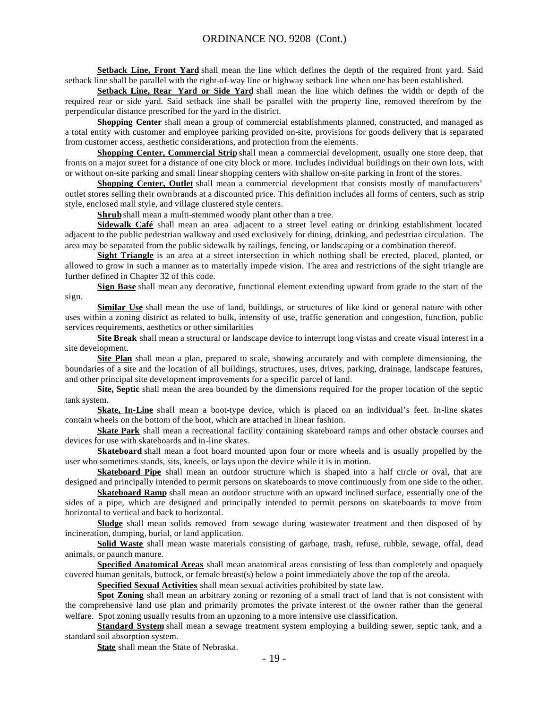**Setback Line, Front Yard** shall mean the line which defines the depth of the required front yard. Said setback line shall be parallel with the right-of-way line or highway setback line when one has been established.

**Setback Line, Rear Yard or Side Yard** shall mean the line which defines the width or depth of the required rear or side yard. Said setback line shall be parallel with the property line, removed therefrom by the perpendicular distance prescribed for the yard in the district.

**Shopping Center** shall mean a group of commercial establishments planned, constructed, and managed as a total entity with customer and employee parking provided on-site, provisions for goods delivery that is separated from customer access, aesthetic considerations, and protection from the elements.

**Shopping Center, Commercial Strip** shall mean a commercial development, usually one store deep, that fronts on a major street for a distance of one city block or more. Includes individual buildings on their own lots, with or without on-site parking and small linear shopping centers with shallow on-site parking in front of the stores.

**Shopping Center, Outlet** shall mean a commercial development that consists mostly of manufacturers' outlet stores selling their own brands at a discounted price. This definition includes all forms of centers, such as strip style, enclosed mall style, and village clustered style centers.

**Shrub** shall mean a multi-stemmed woody plant other than a tree.

**Sidewalk Café** shall mean an area adjacent to a street level eating or drinking establishment located adjacent to the public pedestrian walkway and used exclusively for dining, drinking, and pedestrian circulation. The area may be separated from the public sidewalk by railings, fencing, or landscaping or a combination thereof.

**Sight Triangle** is an area at a street intersection in which nothing shall be erected, placed, planted, or allowed to grow in such a manner as to materially impede vision. The area and restrictions of the sight triangle are further defined in Chapter 32 of this code.

**Sign Base** shall mean any decorative, functional element extending upward from grade to the start of the sign.

**Similar Use** shall mean the use of land, buildings, or structures of like kind or general nature with other uses within a zoning district as related to bulk, intensity of use, traffic generation and congestion, function, public services requirements, aesthetics or other similarities

**Site Break** shall mean a structural or landscape device to interrupt long vistas and create visual interest in a site development.

**Site Plan** shall mean a plan, prepared to scale, showing accurately and with complete dimensioning, the boundaries of a site and the location of all buildings, structures, uses, drives, parking, drainage, landscape features, and other principal site development improvements for a specific parcel of land.

**Site, Septic** shall mean the area bounded by the dimensions required for the proper location of the septic tank system.

**Skate, In-Line** shall mean a boot-type device, which is placed on an individual's feet. In-line skates contain wheels on the bottom of the boot, which are attached in linear fashion.

**Skate Park** shall mean a recreational facility containing skateboard ramps and other obstacle courses and devices for use with skateboards and in-line skates.

**Skateboard** shall mean a foot board mounted upon four or more wheels and is usually propelled by the user who sometimes stands, sits, kneels, or lays upon the device while it is in motion.

**Skateboard Pipe** shall mean an outdoor structure which is shaped into a half circle or oval, that are designed and principally intended to permit persons on skateboards to move continuously from one side to the other.

**Skateboard Ramp** shall mean an outdoor structure with an upward inclined surface, essentially one of the sides of a pipe, which are designed and principally intended to permit persons on skateboards to move from horizontal to vertical and back to horizontal.

**Sludge** shall mean solids removed from sewage during wastewater treatment and then disposed of by incineration, dumping, burial, or land application.

**Solid Waste** shall mean waste materials consisting of garbage, trash, refuse, rubble, sewage, offal, dead animals, or paunch manure.

**Specified Anatomical Areas** shall mean anatomical areas consisting of less than completely and opaquely covered human genitals, buttock, or female breast(s) below a point immediately above the top of the areola.

**Specified Sexual Activities** shall mean sexual activities prohibited by state law.

**Spot Zoning** shall mean an arbitrary zoning or rezoning of a small tract of land that is not consistent with the comprehensive land use plan and primarily promotes the private interest of the owner rather than the general welfare. Spot zoning usually results from an upzoning to a more intensive use classification.

**Standard System** shall mean a sewage treatment system employing a building sewer, septic tank, and a standard soil absorption system.

**State** shall mean the State of Nebraska.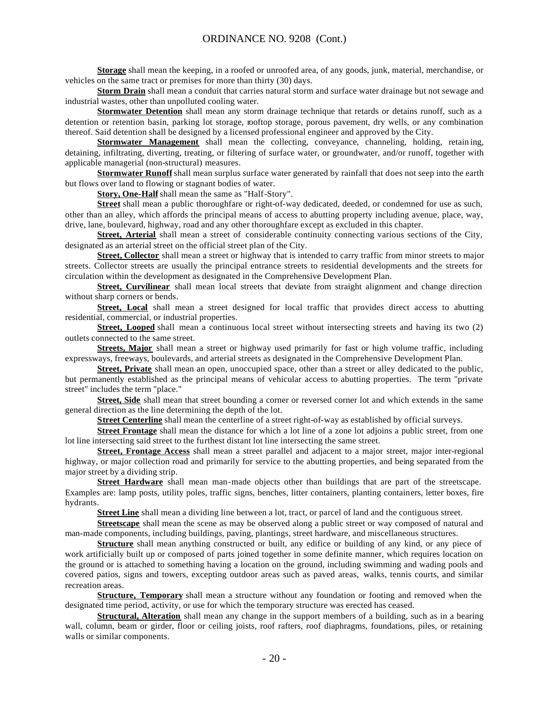**Storage** shall mean the keeping, in a roofed or unroofed area, of any goods, junk, material, merchandise, or vehicles on the same tract or premises for more than thirty (30) days.

**Storm Drain** shall mean a conduit that carries natural storm and surface water drainage but not sewage and industrial wastes, other than unpolluted cooling water.

**Stormwater Detention** shall mean any storm drainage technique that retards or detains runoff, such as a detention or retention basin, parking lot storage, rooftop storage, porous pavement, dry wells, or any combination thereof. Said detention shall be designed by a licensed professional engineer and approved by the City.

**Stormwater Management** shall mean the collecting, conveyance, channeling, holding, retain ing, detaining, infiltrating, diverting, treating, or filtering of surface water, or groundwater, and/or runoff, together with applicable managerial (non-structural) measures.

**Stormwater Runoff** shall mean surplus surface water generated by rainfall that does not seep into the earth but flows over land to flowing or stagnant bodies of water.

**Story, One-Half** shall mean the same as "Half-Story".

**Street** shall mean a public thoroughfare or right-of-way dedicated, deeded, or condemned for use as such, other than an alley, which affords the principal means of access to abutting property including avenue, place, way, drive, lane, boulevard, highway, road and any other thoroughfare except as excluded in this chapter.

**Street, Arterial** shall mean a street of considerable continuity connecting various sections of the City, designated as an arterial street on the official street plan of the City.

**Street, Collector** shall mean a street or highway that is intended to carry traffic from minor streets to major streets. Collector streets are usually the principal entrance streets to residential developments and the streets for circulation within the development as designated in the Comprehensive Development Plan.

**Street, Curvilinear** shall mean local streets that deviate from straight alignment and change direction without sharp corners or bends.

**Street, Local** shall mean a street designed for local traffic that provides direct access to abutting residential, commercial, or industrial properties.

**Street, Looped** shall mean a continuous local street without intersecting streets and having its two (2) outlets connected to the same street.

**Streets, Major** shall mean a street or highway used primarily for fast or high volume traffic, including expressways, freeways, boulevards, and arterial streets as designated in the Comprehensive Development Plan.

**Street, Private** shall mean an open, unoccupied space, other than a street or alley dedicated to the public, but permanently established as the principal means of vehicular access to abutting properties. The term "private street" includes the term "place."

**Street, Side** shall mean that street bounding a corner or reversed corner lot and which extends in the same general direction as the line determining the depth of the lot.

**Street Centerline** shall mean the centerline of a street right-of-way as established by official surveys.

**Street Frontage** shall mean the distance for which a lot line of a zone lot adjoins a public street, from one lot line intersecting said street to the furthest distant lot line intersecting the same street.

**Street, Frontage Access** shall mean a street parallel and adjacent to a major street, major inter-regional highway, or major collection road and primarily for service to the abutting properties, and being separated from the major street by a dividing strip.

**Street Hardware** shall mean man-made objects other than buildings that are part of the streetscape. Examples are: lamp posts, utility poles, traffic signs, benches, litter containers, planting containers, letter boxes, fire hydrants.

**Street Line** shall mean a dividing line between a lot, tract, or parcel of land and the contiguous street.

**Streetscape** shall mean the scene as may be observed along a public street or way composed of natural and man-made components, including buildings, paving, plantings, street hardware, and miscellaneous structures.

**Structure** shall mean anything constructed or built, any edifice or building of any kind, or any piece of work artificially built up or composed of parts joined together in some definite manner, which requires location on the ground or is attached to something having a location on the ground, including swimming and wading pools and covered patios, signs and towers, excepting outdoor areas such as paved areas, walks, tennis courts, and similar recreation areas.

**Structure, Temporary** shall mean a structure without any foundation or footing and removed when the designated time period, activity, or use for which the temporary structure was erected has ceased.

**Structural, Alteration** shall mean any change in the support members of a building, such as in a bearing wall, column, beam or girder, floor or ceiling joists, roof rafters, roof diaphragms, foundations, piles, or retaining walls or similar components.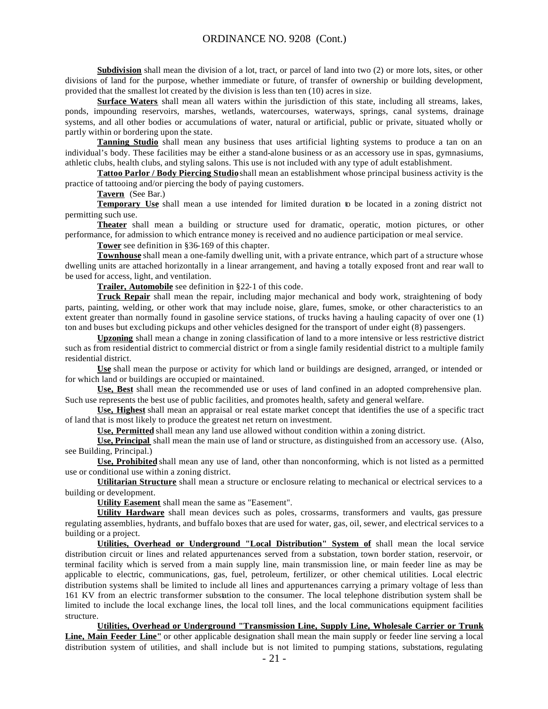**Subdivision** shall mean the division of a lot, tract, or parcel of land into two (2) or more lots, sites, or other divisions of land for the purpose, whether immediate or future, of transfer of ownership or building development, provided that the smallest lot created by the division is less than ten (10) acres in size.

**Surface Waters** shall mean all waters within the jurisdiction of this state, including all streams, lakes, ponds, impounding reservoirs, marshes, wetlands, watercourses, waterways, springs, canal systems, drainage systems, and all other bodies or accumulations of water, natural or artificial, public or private, situated wholly or partly within or bordering upon the state.

**Tanning Studio** shall mean any business that uses artificial lighting systems to produce a tan on an individual's body. These facilities may be either a stand-alone business or as an accessory use in spas, gymnasiums, athletic clubs, health clubs, and styling salons. This use is not included with any type of adult establishment.

**Tattoo Parlor / Body Piercing Studio** shall mean an establishment whose principal business activity is the practice of tattooing and/or piercing the body of paying customers.

**Tavern** (See Bar.)

**Temporary Use** shall mean a use intended for limited duration to be located in a zoning district not permitting such use.

**Theater** shall mean a building or structure used for dramatic, operatic, motion pictures, or other performance, for admission to which entrance money is received and no audience participation or meal service.

**Tower** see definition in §36-169 of this chapter.

**Townhouse** shall mean a one-family dwelling unit, with a private entrance, which part of a structure whose dwelling units are attached horizontally in a linear arrangement, and having a totally exposed front and rear wall to be used for access, light, and ventilation.

**Trailer, Automobile** see definition in §22-1 of this code.

**Truck Repair** shall mean the repair, including major mechanical and body work, straightening of body parts, painting, welding, or other work that may include noise, glare, fumes, smoke, or other characteristics to an extent greater than normally found in gasoline service stations, of trucks having a hauling capacity of over one (1) ton and buses but excluding pickups and other vehicles designed for the transport of under eight (8) passengers.

**Upzoning** shall mean a change in zoning classification of land to a more intensive or less restrictive district such as from residential district to commercial district or from a single family residential district to a multiple family residential district.

**Use** shall mean the purpose or activity for which land or buildings are designed, arranged, or intended or for which land or buildings are occupied or maintained.

**Use, Best** shall mean the recommended use or uses of land confined in an adopted comprehensive plan. Such use represents the best use of public facilities, and promotes health, safety and general welfare.

**Use, Highest** shall mean an appraisal or real estate market concept that identifies the use of a specific tract of land that is most likely to produce the greatest net return on investment.

**Use, Permitted** shall mean any land use allowed without condition within a zoning district.

**Use, Principal** shall mean the main use of land or structure, as distinguished from an accessory use. (Also, see Building, Principal.)

**Use, Prohibited** shall mean any use of land, other than nonconforming, which is not listed as a permitted use or conditional use within a zoning district.

**Utilitarian Structure** shall mean a structure or enclosure relating to mechanical or electrical services to a building or development.

**Utility Easement** shall mean the same as "Easement".

**Utility Hardware** shall mean devices such as poles, crossarms, transformers and vaults, gas pressure regulating assemblies, hydrants, and buffalo boxes that are used for water, gas, oil, sewer, and electrical services to a building or a project.

**Utilities, Overhead or Underground "Local Distribution" System of** shall mean the local service distribution circuit or lines and related appurtenances served from a substation, town border station, reservoir, or terminal facility which is served from a main supply line, main transmission line, or main feeder line as may be applicable to electric, communications, gas, fuel, petroleum, fertilizer, or other chemical utilities. Local electric distribution systems shall be limited to include all lines and appurtenances carrying a primary voltage of less than 161 KV from an electric transformer substation to the consumer. The local telephone distribution system shall be limited to include the local exchange lines, the local toll lines, and the local communications equipment facilities structure.

**Utilities, Overhead or Underground "Transmission Line, Supply Line, Wholesale Carrier or Trunk Line, Main Feeder Line"** or other applicable designation shall mean the main supply or feeder line serving a local distribution system of utilities, and shall include but is not limited to pumping stations, substations, regulating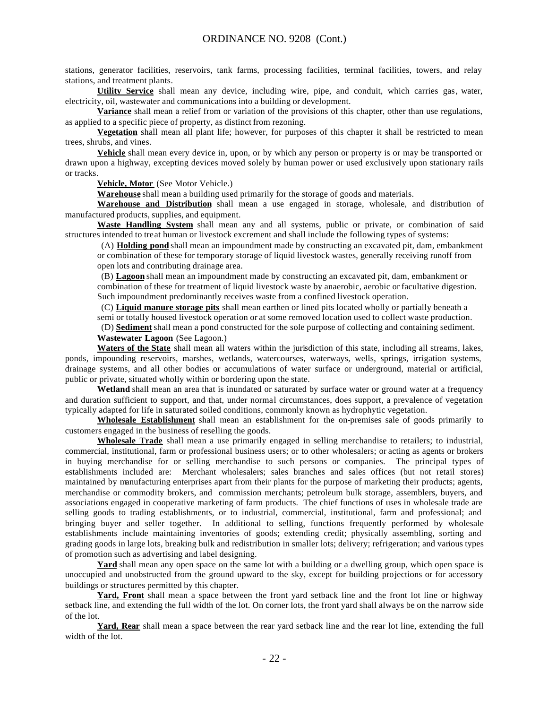stations, generator facilities, reservoirs, tank farms, processing facilities, terminal facilities, towers, and relay stations, and treatment plants.

**Utility Service** shall mean any device, including wire, pipe, and conduit, which carries gas, water, electricity, oil, wastewater and communications into a building or development.

**Variance** shall mean a relief from or variation of the provisions of this chapter, other than use regulations, as applied to a specific piece of property, as distinct from rezoning.

**Vegetation** shall mean all plant life; however, for purposes of this chapter it shall be restricted to mean trees, shrubs, and vines.

**Vehicle** shall mean every device in, upon, or by which any person or property is or may be transported or drawn upon a highway, excepting devices moved solely by human power or used exclusively upon stationary rails or tracks.

**Vehicle, Motor** (See Motor Vehicle.)

**Warehouse** shall mean a building used primarily for the storage of goods and materials.

**Warehouse and Distribution** shall mean a use engaged in storage, wholesale, and distribution of manufactured products, supplies, and equipment.

**Waste Handling System** shall mean any and all systems, public or private, or combination of said structures intended to treat human or livestock excrement and shall include the following types of systems:

 (A) **Holding pond** shall mean an impoundment made by constructing an excavated pit, dam, embankment or combination of these for temporary storage of liquid livestock wastes, generally receiving runoff from open lots and contributing drainage area.

 (B) **Lagoon** shall mean an impoundment made by constructing an excavated pit, dam, embankment or combination of these for treatment of liquid livestock waste by anaerobic, aerobic or facultative digestion. Such impoundment predominantly receives waste from a confined livestock operation.

 (C) **Liquid manure storage pits** shall mean earthen or lined pits located wholly or partially beneath a semi or totally housed livestock operation or at some removed location used to collect waste production.

 (D) **Sediment**shall mean a pond constructed for the sole purpose of collecting and containing sediment. **Wastewater Lagoon** (See Lagoon.)

**Waters of the State** shall mean all waters within the jurisdiction of this state, including all streams, lakes, ponds, impounding reservoirs, marshes, wetlands, watercourses, waterways, wells, springs, irrigation systems, drainage systems, and all other bodies or accumulations of water surface or underground, material or artificial, public or private, situated wholly within or bordering upon the state.

**Wetland** shall mean an area that is inundated or saturated by surface water or ground water at a frequency and duration sufficient to support, and that, under normal circumstances, does support, a prevalence of vegetation typically adapted for life in saturated soiled conditions, commonly known as hydrophytic vegetation.

**Wholesale Establishment** shall mean an establishment for the on-premises sale of goods primarily to customers engaged in the business of reselling the goods.

**Wholesale Trade** shall mean a use primarily engaged in selling merchandise to retailers; to industrial, commercial, institutional, farm or professional business users; or to other wholesalers; or acting as agents or brokers in buying merchandise for or selling merchandise to such persons or companies. The principal types of establishments included are: Merchant wholesalers; sales branches and sales offices (but not retail stores) maintained by manufacturing enterprises apart from their plants for the purpose of marketing their products; agents, merchandise or commodity brokers, and commission merchants; petroleum bulk storage, assemblers, buyers, and associations engaged in cooperative marketing of farm products. The chief functions of uses in wholesale trade are selling goods to trading establishments, or to industrial, commercial, institutional, farm and professional; and bringing buyer and seller together. In additional to selling, functions frequently performed by wholesale establishments include maintaining inventories of goods; extending credit; physically assembling, sorting and grading goods in large lots, breaking bulk and redistribution in smaller lots; delivery; refrigeration; and various types of promotion such as advertising and label designing.

**Yard** shall mean any open space on the same lot with a building or a dwelling group, which open space is unoccupied and unobstructed from the ground upward to the sky, except for building projections or for accessory buildings or structures permitted by this chapter.

**Yard, Front** shall mean a space between the front yard setback line and the front lot line or highway setback line, and extending the full width of the lot. On corner lots, the front yard shall always be on the narrow side of the lot.

**Yard, Rear** shall mean a space between the rear yard setback line and the rear lot line, extending the full width of the lot.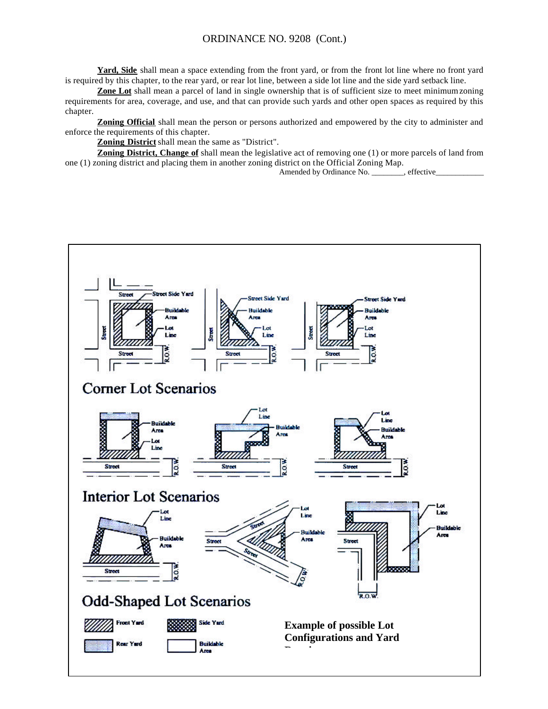**Yard, Side** shall mean a space extending from the front yard, or from the front lot line where no front yard is required by this chapter, to the rear yard, or rear lot line, between a side lot line and the side yard setback line.

**Zone Lot** shall mean a parcel of land in single ownership that is of sufficient size to meet minimum zoning requirements for area, coverage, and use, and that can provide such yards and other open spaces as required by this chapter.

**Zoning Official** shall mean the person or persons authorized and empowered by the city to administer and enforce the requirements of this chapter.

**Zoning District** shall mean the same as "District".

**Zoning District, Change of** shall mean the legislative act of removing one (1) or more parcels of land from one (1) zoning district and placing them in another zoning district on the Official Zoning Map.

Amended by Ordinance No. \_\_\_\_\_\_\_\_, effective\_